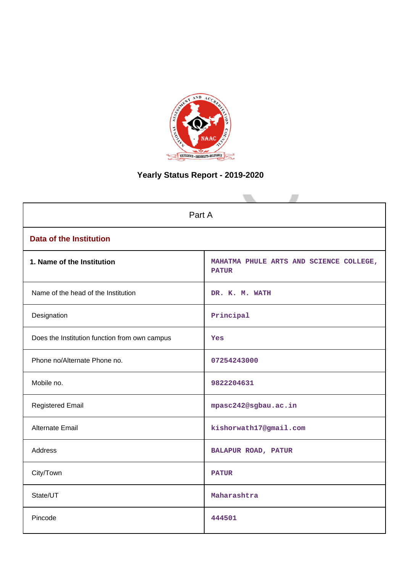

# **Yearly Status Report - 2019-2020**

| Part A                                        |                                                         |  |  |  |
|-----------------------------------------------|---------------------------------------------------------|--|--|--|
| <b>Data of the Institution</b>                |                                                         |  |  |  |
| 1. Name of the Institution                    | MAHATMA PHULE ARTS AND SCIENCE COLLEGE,<br><b>PATUR</b> |  |  |  |
| Name of the head of the Institution           | DR. K. M. WATH                                          |  |  |  |
| Designation                                   | Principal                                               |  |  |  |
| Does the Institution function from own campus | Yes                                                     |  |  |  |
| Phone no/Alternate Phone no.                  | 07254243000                                             |  |  |  |
| Mobile no.                                    | 9822204631                                              |  |  |  |
| <b>Registered Email</b>                       | mpasc242@sgbau.ac.in                                    |  |  |  |
| Alternate Email                               | kishorwath17@gmail.com                                  |  |  |  |
| <b>Address</b>                                | BALAPUR ROAD, PATUR                                     |  |  |  |
| City/Town                                     | <b>PATUR</b>                                            |  |  |  |
| State/UT                                      | Maharashtra                                             |  |  |  |
| Pincode                                       | 444501                                                  |  |  |  |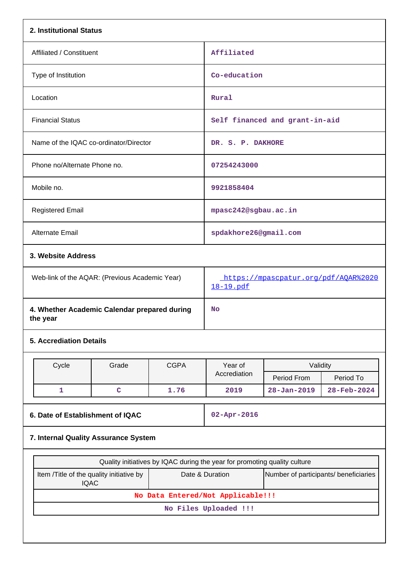| 2. Institutional Status                                  |                                                         |             |                                                                           |                                |             |  |
|----------------------------------------------------------|---------------------------------------------------------|-------------|---------------------------------------------------------------------------|--------------------------------|-------------|--|
| Affiliated / Constituent                                 |                                                         |             | Affiliated                                                                |                                |             |  |
| Type of Institution                                      |                                                         |             | Co-education                                                              |                                |             |  |
| Location                                                 |                                                         |             | Rural                                                                     |                                |             |  |
| <b>Financial Status</b>                                  |                                                         |             |                                                                           | Self financed and grant-in-aid |             |  |
| Name of the IQAC co-ordinator/Director                   |                                                         |             | DR. S. P. DAKHORE                                                         |                                |             |  |
| Phone no/Alternate Phone no.                             |                                                         |             | 07254243000                                                               |                                |             |  |
| Mobile no.                                               |                                                         |             | 9921858404                                                                |                                |             |  |
| <b>Registered Email</b>                                  |                                                         |             | mpasc242@sgbau.ac.in                                                      |                                |             |  |
| Alternate Email                                          |                                                         |             | spdakhore26@gmail.com                                                     |                                |             |  |
| 3. Website Address                                       |                                                         |             |                                                                           |                                |             |  |
| Web-link of the AQAR: (Previous Academic Year)           |                                                         |             | https://mpascpatur.org/pdf/AQAR%2020<br>18-19.pdf                         |                                |             |  |
| 4. Whether Academic Calendar prepared during<br>the year |                                                         |             | <b>No</b>                                                                 |                                |             |  |
| <b>5. Accrediation Details</b>                           |                                                         |             |                                                                           |                                |             |  |
| Cycle                                                    | Grade                                                   | <b>CGPA</b> | Year of                                                                   | Validity                       |             |  |
|                                                          |                                                         |             | Accrediation                                                              | Period From                    | Period To   |  |
| $\mathbf{1}$                                             | $\mathbf C$                                             | 1.76        | 2019                                                                      | $28 - Jan - 2019$              | 28-Feb-2024 |  |
| 6. Date of Establishment of IQAC                         |                                                         |             | 02-Apr-2016                                                               |                                |             |  |
| 7. Internal Quality Assurance System                     |                                                         |             |                                                                           |                                |             |  |
|                                                          |                                                         |             | Quality initiatives by IQAC during the year for promoting quality culture |                                |             |  |
|                                                          | Item /Title of the quality initiative by<br><b>IQAC</b> |             | Date & Duration<br>Number of participants/ beneficiaries                  |                                |             |  |
|                                                          |                                                         |             | No Data Entered/Not Applicable!!!                                         |                                |             |  |
|                                                          |                                                         |             | No Files Uploaded !!!                                                     |                                |             |  |
|                                                          |                                                         |             |                                                                           |                                |             |  |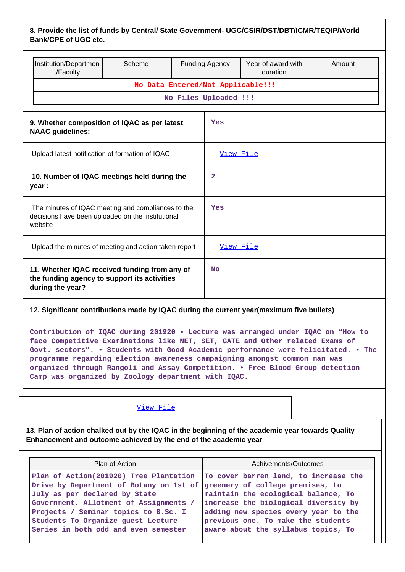| 8. Provide the list of funds by Central/ State Government- UGC/CSIR/DST/DBT/ICMR/TEQIP/World |  |
|----------------------------------------------------------------------------------------------|--|
| <b>Bank/CPE of UGC etc.</b>                                                                  |  |

|                                                                                                                    | Institution/Departmen<br>t/Faculty | Scheme                            |              | <b>Funding Agency</b> | Year of award with<br>duration | Amount |
|--------------------------------------------------------------------------------------------------------------------|------------------------------------|-----------------------------------|--------------|-----------------------|--------------------------------|--------|
|                                                                                                                    |                                    | No Data Entered/Not Applicable!!! |              |                       |                                |        |
|                                                                                                                    |                                    |                                   |              | No Files Uploaded !!! |                                |        |
| 9. Whether composition of IQAC as per latest<br><b>NAAC</b> guidelines:                                            |                                    |                                   |              | Yes                   |                                |        |
| Upload latest notification of formation of IQAC                                                                    |                                    |                                   |              | View File             |                                |        |
| 10. Number of IQAC meetings held during the<br>year :                                                              |                                    |                                   | $\mathbf{2}$ |                       |                                |        |
| The minutes of IQAC meeting and compliances to the<br>decisions have been uploaded on the institutional<br>website |                                    |                                   |              | Yes                   |                                |        |
| Upload the minutes of meeting and action taken report                                                              |                                    |                                   | View File    |                       |                                |        |
| 11. Whether IQAC received funding from any of<br>the funding agency to support its activities<br>during the year?  |                                    |                                   | <b>No</b>    |                       |                                |        |

### **12. Significant contributions made by IQAC during the current year(maximum five bullets)**

**Contribution of IQAC during 201920 • Lecture was arranged under IQAC on "How to face Competitive Examinations like NET, SET, GATE and Other related Exams of Govt. sectors". • Students with Good Academic performance were felicitated. • The programme regarding election awareness campaigning amongst common man was organized through Rangoli and Assay Competition. • Free Blood Group detection Camp was organized by Zoology department with IQAC.**

#### [View File](https://assessmentonline.naac.gov.in/public/Postacc/Contribution/19272_Contribution.xlsx)

**13. Plan of action chalked out by the IQAC in the beginning of the academic year towards Quality Enhancement and outcome achieved by the end of the academic year**

| Plan of Action                                                                                                                                                                                                                                                                                                                                              | Achivements/Outcomes                                                                                                                                                                             |
|-------------------------------------------------------------------------------------------------------------------------------------------------------------------------------------------------------------------------------------------------------------------------------------------------------------------------------------------------------------|--------------------------------------------------------------------------------------------------------------------------------------------------------------------------------------------------|
| Plan of Action(201920) Tree Plantation   To cover barren land, to increase the<br>Drive by Department of Botany on 1st of greenery of college premises, to<br>July as per declared by State<br>Government. Allotment of Assignments /<br>Projects / Seminar topics to B.Sc. I<br>Students To Organize quest Lecture<br>Series in both odd and even semester | maintain the ecological balance, To<br>increase the biological diversity by<br>adding new species every year to the<br>previous one. To make the students<br>aware about the syllabus topics, To |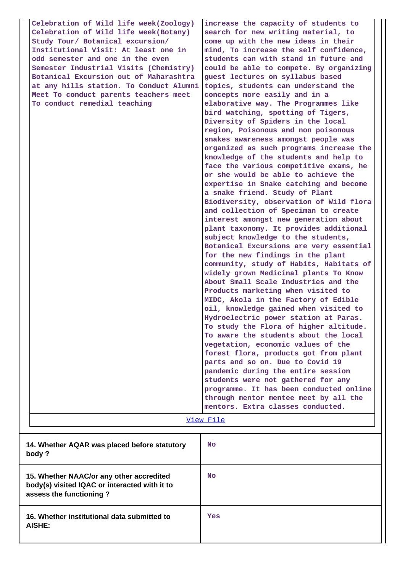| Celebration of Wild life week(Zoology)<br>Celebration of Wild life week(Botany) | increase the capacity of students to<br>search for new writing material, to |
|---------------------------------------------------------------------------------|-----------------------------------------------------------------------------|
| Study Tour/ Botanical excursion/                                                | come up with the new ideas in their                                         |
| Institutional Visit: At least one in                                            | mind, To increase the self confidence,                                      |
| odd semester and one in the even                                                | students can with stand in future and                                       |
| Semester Industrial Visits (Chemistry)                                          | could be able to compete. By organizing                                     |
| Botanical Excursion out of Maharashtra                                          | guest lectures on syllabus based                                            |
| at any hills station. To Conduct Alumni                                         | topics, students can understand the                                         |
| Meet To conduct parents teachers meet                                           | concepts more easily and in a                                               |
| To conduct remedial teaching                                                    | elaborative way. The Programmes like                                        |
|                                                                                 | bird watching, spotting of Tigers,<br>Diversity of Spiders in the local     |
|                                                                                 | region, Poisonous and non poisonous                                         |
|                                                                                 | snakes awareness amongst people was                                         |
|                                                                                 | organized as such programs increase the                                     |
|                                                                                 | knowledge of the students and help to                                       |
|                                                                                 | face the various competitive exams, he                                      |
|                                                                                 | or she would be able to achieve the                                         |
|                                                                                 | expertise in Snake catching and become                                      |
|                                                                                 | a snake friend. Study of Plant                                              |
|                                                                                 | Biodiversity, observation of Wild flora                                     |
|                                                                                 | and collection of Speciman to create                                        |
|                                                                                 | interest amongst new generation about                                       |
|                                                                                 | plant taxonomy. It provides additional                                      |
|                                                                                 | subject knowledge to the students,                                          |
|                                                                                 | Botanical Excursions are very essential                                     |
|                                                                                 | for the new findings in the plant                                           |
|                                                                                 | community, study of Habits, Habitats of                                     |
|                                                                                 | widely grown Medicinal plants To Know                                       |
|                                                                                 | About Small Scale Industries and the<br>Products marketing when visited to  |
|                                                                                 | MIDC, Akola in the Factory of Edible                                        |
|                                                                                 | oil, knowledge gained when visited to                                       |
|                                                                                 | Hydroelectric power station at Paras.                                       |
|                                                                                 | To study the Flora of higher altitude.                                      |
|                                                                                 | To aware the students about the local                                       |
|                                                                                 | vegetation, economic values of the                                          |
|                                                                                 | forest flora, products got from plant                                       |
|                                                                                 | parts and so on. Due to Covid 19                                            |
|                                                                                 | pandemic during the entire session                                          |
|                                                                                 | students were not gathered for any                                          |
|                                                                                 | programme. It has been conducted online                                     |
|                                                                                 | through mentor mentee meet by all the                                       |
|                                                                                 | mentors. Extra classes conducted.                                           |
|                                                                                 | <u>View File</u>                                                            |
|                                                                                 |                                                                             |
| 14. Whether AQAR was placed before statutory                                    | <b>No</b>                                                                   |
| body?                                                                           |                                                                             |
|                                                                                 |                                                                             |
| 15. Whether NAAC/or any other accredited                                        | No                                                                          |
| body(s) visited IQAC or interacted with it to                                   |                                                                             |
| assess the functioning?                                                         |                                                                             |
|                                                                                 |                                                                             |
| 16. Whether institutional data submitted to                                     | Yes                                                                         |

**AISHE:**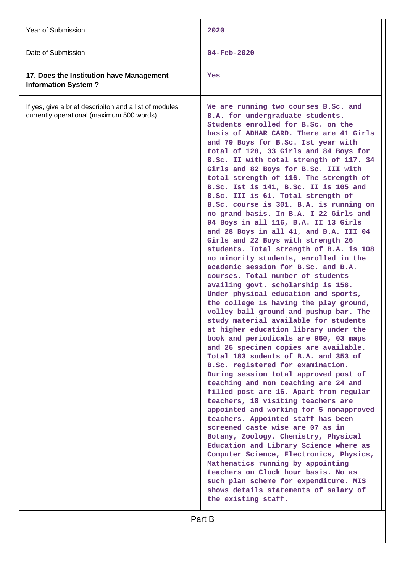| Year of Submission                                                                                  | 2020                                                                                                                                                                                                                                                                                                                                                                                                                                                                                                                                                                                                                                                                                                                                                                                                                                                                                                                                                                                                                                                                                                                                                                                                                                                                                                                                                                                                                                                                                                                                                                                                                                                                                                                                                                                                                                                           |
|-----------------------------------------------------------------------------------------------------|----------------------------------------------------------------------------------------------------------------------------------------------------------------------------------------------------------------------------------------------------------------------------------------------------------------------------------------------------------------------------------------------------------------------------------------------------------------------------------------------------------------------------------------------------------------------------------------------------------------------------------------------------------------------------------------------------------------------------------------------------------------------------------------------------------------------------------------------------------------------------------------------------------------------------------------------------------------------------------------------------------------------------------------------------------------------------------------------------------------------------------------------------------------------------------------------------------------------------------------------------------------------------------------------------------------------------------------------------------------------------------------------------------------------------------------------------------------------------------------------------------------------------------------------------------------------------------------------------------------------------------------------------------------------------------------------------------------------------------------------------------------------------------------------------------------------------------------------------------------|
| Date of Submission                                                                                  | $04 - \text{Feb} - 2020$                                                                                                                                                                                                                                                                                                                                                                                                                                                                                                                                                                                                                                                                                                                                                                                                                                                                                                                                                                                                                                                                                                                                                                                                                                                                                                                                                                                                                                                                                                                                                                                                                                                                                                                                                                                                                                       |
| 17. Does the Institution have Management<br><b>Information System?</b>                              | Yes                                                                                                                                                                                                                                                                                                                                                                                                                                                                                                                                                                                                                                                                                                                                                                                                                                                                                                                                                                                                                                                                                                                                                                                                                                                                                                                                                                                                                                                                                                                                                                                                                                                                                                                                                                                                                                                            |
| If yes, give a brief descripiton and a list of modules<br>currently operational (maximum 500 words) | We are running two courses B.Sc. and<br>B.A. for undergraduate students.<br>Students enrolled for B.Sc. on the<br>basis of ADHAR CARD. There are 41 Girls<br>and 79 Boys for B.Sc. Ist year with<br>total of 120, 33 Girls and 84 Boys for<br>B.Sc. II with total strength of 117. 34<br>Girls and 82 Boys for B.Sc. III with<br>total strength of 116. The strength of<br>B.Sc. Ist is 141, B.Sc. II is 105 and<br>B.Sc. III is 61. Total strength of<br>B.Sc. course is 301. B.A. is running on<br>no grand basis. In B.A. I 22 Girls and<br>94 Boys in all 116, B.A. II 13 Girls<br>and 28 Boys in all 41, and B.A. III 04<br>Girls and 22 Boys with strength 26<br>students. Total strength of B.A. is 108<br>no minority students, enrolled in the<br>academic session for B.Sc. and B.A.<br>courses. Total number of students<br>availing govt. scholarship is 158.<br>Under physical education and sports,<br>the college is having the play ground,<br>volley ball ground and pushup bar. The<br>study material available for students<br>at higher education library under the<br>book and periodicals are 960, 03 maps<br>and 26 specimen copies are available.<br>Total 183 sudents of B.A. and 353 of<br>B.Sc. registered for examination.<br>During session total approved post of<br>teaching and non teaching are 24 and<br>filled post are 16. Apart from regular<br>teachers, 18 visiting teachers are<br>appointed and working for 5 nonapproved<br>teachers. Appointed staff has been<br>screened caste wise are 07 as in<br>Botany, Zoology, Chemistry, Physical<br>Education and Library Science where as<br>Computer Science, Electronics, Physics,<br>Mathematics running by appointing<br>teachers on Clock hour basis. No as<br>such plan scheme for expenditure. MIS<br>shows details statements of salary of<br>the existing staff. |
|                                                                                                     | Part B                                                                                                                                                                                                                                                                                                                                                                                                                                                                                                                                                                                                                                                                                                                                                                                                                                                                                                                                                                                                                                                                                                                                                                                                                                                                                                                                                                                                                                                                                                                                                                                                                                                                                                                                                                                                                                                         |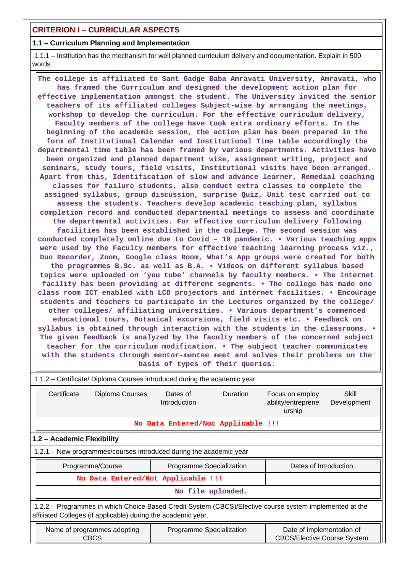# **CRITERION I – CURRICULAR ASPECTS**

### **1.1 – Curriculum Planning and Implementation**

 1.1.1 – Institution has the mechanism for well planned curriculum delivery and documentation. Explain in 500 words

 **The college is affiliated to Sant Gadge Baba Amravati University, Amravati, who has framed the Curriculum and designed the development action plan for effective implementation amongst the student. The University invited the senior teachers of its affiliated colleges Subject-wise by arranging the meetings, workshop to develop the curriculum. For the effective curriculum delivery, Faculty members of the college have took extra ordinary efforts. In the beginning of the academic session, the action plan has been prepared in the form of Institutional Calendar and Institutional Time table accordingly the departmental time table has been framed by various departments. Activities have been organized and planned department wise, assignment writing, project and seminars, study tours, field visits, Institutional visits have been arranged. Apart from this, Identification of slow and advance learner, Remedial coaching classes for failure students, also conduct extra classes to complete the assigned syllabus, group discussion, surprise Quiz, Unit test carried out to assess the students. Teachers develop academic teaching plan, syllabus completion record and conducted departmental meetings to assess and coordinate the departmental activities. For effective curriculum delivery following facilities has been established in the college. The second session was conducted completely online due to Covid – 19 pandemic. • Various teaching apps were used by the Faculty members for effective teaching learning process viz., Duo Recorder, Zoom, Google class Room, What's App groups were created for both the programmes B.Sc. as well as B.A. • Videos on different syllabus based topics were uploaded on 'you tube' channels by faculty members. • The internet facility has been providing at different segments. • The college has made one class room ICT enabled with LCD projectors and internet facilities. • Encourage students and teachers to participate in the Lectures organized by the college/ other colleges/ affiliating universities. • Various department's commenced educational tours, Botanical excursions, field visits etc. • Feedback on syllabus is obtained through interaction with the students in the classrooms. • The given feedback is analyzed by the faculty members of the concerned subject teacher for the curriculum modification. • The subject teacher communicates with the students through mentor-mentee meet and solves their problems on the basis of types of their queries.**

| 1.1.2 – Certificate/ Diploma Courses introduced during the academic year                                                                                                 |                                                                       |                                    |                 |                                                 |                      |  |
|--------------------------------------------------------------------------------------------------------------------------------------------------------------------------|-----------------------------------------------------------------------|------------------------------------|-----------------|-------------------------------------------------|----------------------|--|
| Certificate                                                                                                                                                              | Diploma Courses                                                       | Dates of<br>Introduction           | <b>Duration</b> | Focus on employ<br>ability/entreprene<br>urship | Skill<br>Development |  |
|                                                                                                                                                                          |                                                                       | No Data Entered/Not Applicable !!! |                 |                                                 |                      |  |
| 1.2 - Academic Flexibility                                                                                                                                               |                                                                       |                                    |                 |                                                 |                      |  |
| 1.2.1 - New programmes/courses introduced during the academic year                                                                                                       |                                                                       |                                    |                 |                                                 |                      |  |
|                                                                                                                                                                          | Dates of Introduction<br>Programme/Course<br>Programme Specialization |                                    |                 |                                                 |                      |  |
| No Data Entered/Not Applicable !!!                                                                                                                                       |                                                                       |                                    |                 |                                                 |                      |  |
| No file uploaded.                                                                                                                                                        |                                                                       |                                    |                 |                                                 |                      |  |
| 1.2.2 – Programmes in which Choice Based Credit System (CBCS)/Elective course system implemented at the<br>affiliated Colleges (if applicable) during the academic year. |                                                                       |                                    |                 |                                                 |                      |  |
| Programme Specialization<br>Date of implementation of<br>Name of programmes adopting<br><b>CBCS</b><br><b>CBCS/Elective Course System</b>                                |                                                                       |                                    |                 |                                                 |                      |  |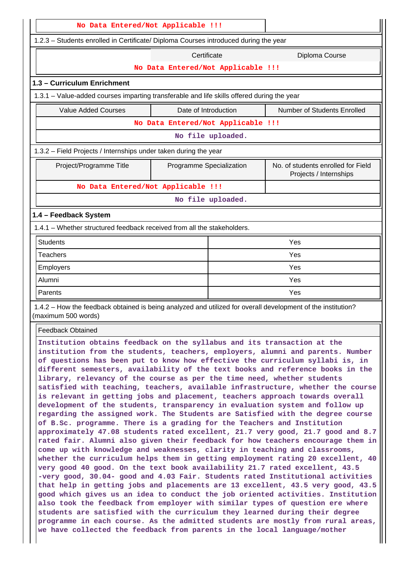| No Data Entered/Not Applicable !!!                                                                                                                                                                                                                                                                                                                                                                                                                                                                                                                                                                                                                                                                                                                                                                                                                                                                                                                                                                                                                                                                                                                                                                                                                                                                                                                                                                                                                                                                                                                                                                                                                                                                                                                                                                                                   |                                    |                   |                                                              |  |
|--------------------------------------------------------------------------------------------------------------------------------------------------------------------------------------------------------------------------------------------------------------------------------------------------------------------------------------------------------------------------------------------------------------------------------------------------------------------------------------------------------------------------------------------------------------------------------------------------------------------------------------------------------------------------------------------------------------------------------------------------------------------------------------------------------------------------------------------------------------------------------------------------------------------------------------------------------------------------------------------------------------------------------------------------------------------------------------------------------------------------------------------------------------------------------------------------------------------------------------------------------------------------------------------------------------------------------------------------------------------------------------------------------------------------------------------------------------------------------------------------------------------------------------------------------------------------------------------------------------------------------------------------------------------------------------------------------------------------------------------------------------------------------------------------------------------------------------|------------------------------------|-------------------|--------------------------------------------------------------|--|
| 1.2.3 - Students enrolled in Certificate/ Diploma Courses introduced during the year                                                                                                                                                                                                                                                                                                                                                                                                                                                                                                                                                                                                                                                                                                                                                                                                                                                                                                                                                                                                                                                                                                                                                                                                                                                                                                                                                                                                                                                                                                                                                                                                                                                                                                                                                 |                                    |                   |                                                              |  |
|                                                                                                                                                                                                                                                                                                                                                                                                                                                                                                                                                                                                                                                                                                                                                                                                                                                                                                                                                                                                                                                                                                                                                                                                                                                                                                                                                                                                                                                                                                                                                                                                                                                                                                                                                                                                                                      | Diploma Course                     |                   |                                                              |  |
|                                                                                                                                                                                                                                                                                                                                                                                                                                                                                                                                                                                                                                                                                                                                                                                                                                                                                                                                                                                                                                                                                                                                                                                                                                                                                                                                                                                                                                                                                                                                                                                                                                                                                                                                                                                                                                      | No Data Entered/Not Applicable !!! |                   |                                                              |  |
| 1.3 - Curriculum Enrichment                                                                                                                                                                                                                                                                                                                                                                                                                                                                                                                                                                                                                                                                                                                                                                                                                                                                                                                                                                                                                                                                                                                                                                                                                                                                                                                                                                                                                                                                                                                                                                                                                                                                                                                                                                                                          |                                    |                   |                                                              |  |
| 1.3.1 – Value-added courses imparting transferable and life skills offered during the year                                                                                                                                                                                                                                                                                                                                                                                                                                                                                                                                                                                                                                                                                                                                                                                                                                                                                                                                                                                                                                                                                                                                                                                                                                                                                                                                                                                                                                                                                                                                                                                                                                                                                                                                           |                                    |                   |                                                              |  |
| <b>Value Added Courses</b>                                                                                                                                                                                                                                                                                                                                                                                                                                                                                                                                                                                                                                                                                                                                                                                                                                                                                                                                                                                                                                                                                                                                                                                                                                                                                                                                                                                                                                                                                                                                                                                                                                                                                                                                                                                                           | Date of Introduction               |                   | Number of Students Enrolled                                  |  |
|                                                                                                                                                                                                                                                                                                                                                                                                                                                                                                                                                                                                                                                                                                                                                                                                                                                                                                                                                                                                                                                                                                                                                                                                                                                                                                                                                                                                                                                                                                                                                                                                                                                                                                                                                                                                                                      | No Data Entered/Not Applicable !!! |                   |                                                              |  |
|                                                                                                                                                                                                                                                                                                                                                                                                                                                                                                                                                                                                                                                                                                                                                                                                                                                                                                                                                                                                                                                                                                                                                                                                                                                                                                                                                                                                                                                                                                                                                                                                                                                                                                                                                                                                                                      |                                    | No file uploaded. |                                                              |  |
| 1.3.2 - Field Projects / Internships under taken during the year                                                                                                                                                                                                                                                                                                                                                                                                                                                                                                                                                                                                                                                                                                                                                                                                                                                                                                                                                                                                                                                                                                                                                                                                                                                                                                                                                                                                                                                                                                                                                                                                                                                                                                                                                                     |                                    |                   |                                                              |  |
| Project/Programme Title                                                                                                                                                                                                                                                                                                                                                                                                                                                                                                                                                                                                                                                                                                                                                                                                                                                                                                                                                                                                                                                                                                                                                                                                                                                                                                                                                                                                                                                                                                                                                                                                                                                                                                                                                                                                              | Programme Specialization           |                   | No. of students enrolled for Field<br>Projects / Internships |  |
| No Data Entered/Not Applicable !!!                                                                                                                                                                                                                                                                                                                                                                                                                                                                                                                                                                                                                                                                                                                                                                                                                                                                                                                                                                                                                                                                                                                                                                                                                                                                                                                                                                                                                                                                                                                                                                                                                                                                                                                                                                                                   |                                    |                   |                                                              |  |
|                                                                                                                                                                                                                                                                                                                                                                                                                                                                                                                                                                                                                                                                                                                                                                                                                                                                                                                                                                                                                                                                                                                                                                                                                                                                                                                                                                                                                                                                                                                                                                                                                                                                                                                                                                                                                                      |                                    | No file uploaded. |                                                              |  |
| 1.4 - Feedback System                                                                                                                                                                                                                                                                                                                                                                                                                                                                                                                                                                                                                                                                                                                                                                                                                                                                                                                                                                                                                                                                                                                                                                                                                                                                                                                                                                                                                                                                                                                                                                                                                                                                                                                                                                                                                |                                    |                   |                                                              |  |
| 1.4.1 – Whether structured feedback received from all the stakeholders.                                                                                                                                                                                                                                                                                                                                                                                                                                                                                                                                                                                                                                                                                                                                                                                                                                                                                                                                                                                                                                                                                                                                                                                                                                                                                                                                                                                                                                                                                                                                                                                                                                                                                                                                                              |                                    |                   |                                                              |  |
| <b>Students</b>                                                                                                                                                                                                                                                                                                                                                                                                                                                                                                                                                                                                                                                                                                                                                                                                                                                                                                                                                                                                                                                                                                                                                                                                                                                                                                                                                                                                                                                                                                                                                                                                                                                                                                                                                                                                                      |                                    |                   | Yes                                                          |  |
| <b>Teachers</b>                                                                                                                                                                                                                                                                                                                                                                                                                                                                                                                                                                                                                                                                                                                                                                                                                                                                                                                                                                                                                                                                                                                                                                                                                                                                                                                                                                                                                                                                                                                                                                                                                                                                                                                                                                                                                      |                                    |                   | Yes                                                          |  |
| Employers                                                                                                                                                                                                                                                                                                                                                                                                                                                                                                                                                                                                                                                                                                                                                                                                                                                                                                                                                                                                                                                                                                                                                                                                                                                                                                                                                                                                                                                                                                                                                                                                                                                                                                                                                                                                                            |                                    |                   | Yes                                                          |  |
| Alumni                                                                                                                                                                                                                                                                                                                                                                                                                                                                                                                                                                                                                                                                                                                                                                                                                                                                                                                                                                                                                                                                                                                                                                                                                                                                                                                                                                                                                                                                                                                                                                                                                                                                                                                                                                                                                               |                                    |                   | Yes                                                          |  |
| Parents                                                                                                                                                                                                                                                                                                                                                                                                                                                                                                                                                                                                                                                                                                                                                                                                                                                                                                                                                                                                                                                                                                                                                                                                                                                                                                                                                                                                                                                                                                                                                                                                                                                                                                                                                                                                                              |                                    |                   | Yes                                                          |  |
| 1.4.2 – How the feedback obtained is being analyzed and utilized for overall development of the institution?<br>(maximum 500 words)                                                                                                                                                                                                                                                                                                                                                                                                                                                                                                                                                                                                                                                                                                                                                                                                                                                                                                                                                                                                                                                                                                                                                                                                                                                                                                                                                                                                                                                                                                                                                                                                                                                                                                  |                                    |                   |                                                              |  |
| <b>Feedback Obtained</b>                                                                                                                                                                                                                                                                                                                                                                                                                                                                                                                                                                                                                                                                                                                                                                                                                                                                                                                                                                                                                                                                                                                                                                                                                                                                                                                                                                                                                                                                                                                                                                                                                                                                                                                                                                                                             |                                    |                   |                                                              |  |
| Institution obtains feedback on the syllabus and its transaction at the<br>institution from the students, teachers, employers, alumni and parents. Number<br>of questions has been put to know how effective the curriculum syllabi is, in<br>different semesters, availability of the text books and reference books in the<br>library, relevancy of the course as per the time need, whether students<br>satisfied with teaching, teachers, available infrastructure, whether the course<br>is relevant in getting jobs and placement, teachers approach towards overall<br>development of the students, transparency in evaluation system and follow up<br>regarding the assigned work. The Students are Satisfied with the degree course<br>of B.Sc. programme. There is a grading for the Teachers and Institution<br>approximately 47.08 students rated excellent, 21.7 very good, 21.7 good and 8.7<br>rated fair. Alumni also given their feedback for how teachers encourage them in<br>come up with knowledge and weaknesses, clarity in teaching and classrooms,<br>whether the curriculum helps them in getting employment rating 20 excellent, 40<br>very good 40 good. On the text book availability 21.7 rated excellent, 43.5<br>-very good, 30.04- good and 4.03 Fair. Students rated Institutional activities<br>that help in getting jobs and placements are 13 excellent, 43.5 very good, 43.5<br>good which gives us an idea to conduct the job oriented activities. Institution<br>also took the feedback from employer with similar types of question ere where<br>students are satisfied with the curriculum they learned during their degree<br>programme in each course. As the admitted students are mostly from rural areas,<br>we have collected the feedback from parents in the local language/mother |                                    |                   |                                                              |  |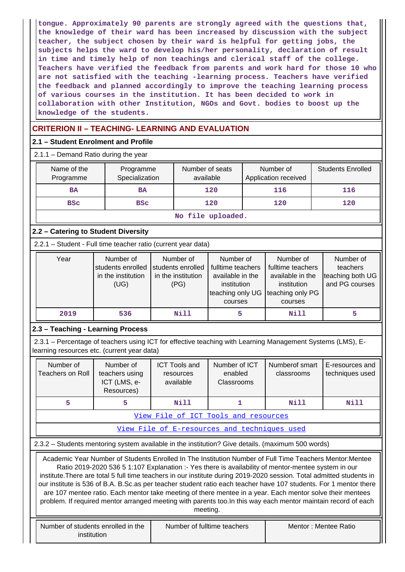**tongue. Approximately 90 parents are strongly agreed with the questions that, the knowledge of their ward has been increased by discussion with the subject teacher, the subject chosen by their ward is helpful for getting jobs, the subjects helps the ward to develop his/her personality, declaration of result in time and timely help of non teachings and clerical staff of the college. Teachers have verified the feedback from parents and work hard for those 10 who are not satisfied with the teaching -learning process. Teachers have verified the feedback and planned accordingly to improve the teaching learning process of various courses in the institution. It has been decided to work in collaboration with other Institution, NGOs and Govt. bodies to boost up the knowledge of the students.**

# **CRITERION II – TEACHING- LEARNING AND EVALUATION**

## **2.1 – Student Enrolment and Profile**

2.1.1 – Demand Ratio during the year

| Name of the<br>Programme | Programme<br>Specialization | Number of seats<br>available | Number of<br>Application received | <b>Students Enrolled</b> |  |  |
|--------------------------|-----------------------------|------------------------------|-----------------------------------|--------------------------|--|--|
| <b>BA</b>                | <b>BA</b>                   | 120                          | 116                               | 116                      |  |  |
| <b>BSC</b>               | <b>BSC</b>                  | 120                          | 120                               | 120                      |  |  |
| ata 441a uwalio Angi     |                             |                              |                                   |                          |  |  |

**No file uploaded.**

# **2.2 – Catering to Student Diversity**

2.2.1 – Student - Full time teacher ratio (current year data)

| Year | Number of<br>students enrolled<br>in the institution<br>(UG) | Number of<br>students enrolled<br>in the institution<br>(PG) | Number of<br>fulltime teachers<br>available in the<br>institution<br>teaching only UG | Number of<br>fulltime teachers<br>available in the<br>institution<br>teaching only PG | Number of<br>teachers<br>teaching both UG<br>and PG courses |
|------|--------------------------------------------------------------|--------------------------------------------------------------|---------------------------------------------------------------------------------------|---------------------------------------------------------------------------------------|-------------------------------------------------------------|
|      |                                                              |                                                              | courses                                                                               | courses                                                                               |                                                             |
| 2019 | 536                                                          | Nill                                                         |                                                                                       | Nill                                                                                  |                                                             |

### **2.3 – Teaching - Learning Process**

 2.3.1 – Percentage of teachers using ICT for effective teaching with Learning Management Systems (LMS), Elearning resources etc. (current year data)

| Number of<br>Teachers on Roll        | Number of<br>teachers using<br>ICT (LMS, e-<br>Resources) | <b>ICT Tools and</b><br>resources<br>available | Number of ICT<br>enabled<br><b>Classrooms</b> | Numberof smart<br>classrooms | E-resources and<br>techniques used |
|--------------------------------------|-----------------------------------------------------------|------------------------------------------------|-----------------------------------------------|------------------------------|------------------------------------|
|                                      |                                                           | Nill                                           |                                               | Nill                         | Nill                               |
| View File of ICT Tools and resources |                                                           |                                                |                                               |                              |                                    |

[View File of E-resources and techniques used](https://assessmentonline.naac.gov.in/public/Postacc/e_resource/19272_e_resource_1647932555.xlsx)

2.3.2 – Students mentoring system available in the institution? Give details. (maximum 500 words)

 Academic Year Number of Students Enrolled In The Institution Number of Full Time Teachers Mentor:Mentee Ratio 2019-2020 536 5 1:107 Explanation :- Yes there is availability of mentor-mentee system in our institute.There are total 5 full time teachers in our institute during 2019-2020 session. Total admitted students in our institute is 536 of B.A. B.Sc.as per teacher student ratio each teacher have 107 students. For 1 mentor there are 107 mentee ratio. Each mentor take meeting of there mentee in a year. Each mentor solve their mentees problem. If required mentor arranged meeting with parents too.In this way each mentor maintain record of each meeting.

| Number of students enrolled in the | Number of fulltime teachers | Mentor: Mentee Ratio |
|------------------------------------|-----------------------------|----------------------|
| institution                        |                             |                      |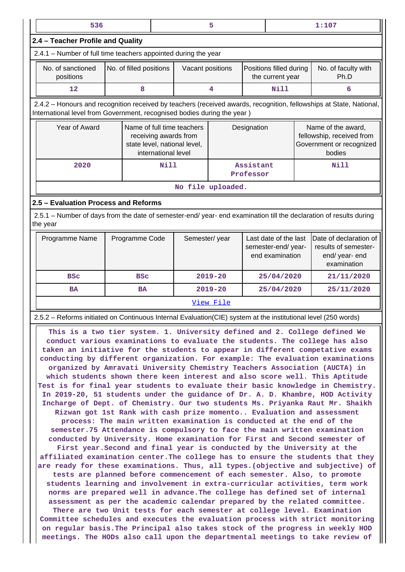| 536                                                                                                                                                                                                                                                                                                                                                                                                                                                                                                                                                                                                                                                                                                                                                                                                                                                                                                                                                                                                                                                                                                                                                                                                                                                                                                                                                                                                                                                                                                                                                                                                                                                                                                                                                                                                          |                                                                                                                                                                                      |                                                                                                                           |                  | 5           |  |                                             |                                                                                       | 1:107                                                                         |
|--------------------------------------------------------------------------------------------------------------------------------------------------------------------------------------------------------------------------------------------------------------------------------------------------------------------------------------------------------------------------------------------------------------------------------------------------------------------------------------------------------------------------------------------------------------------------------------------------------------------------------------------------------------------------------------------------------------------------------------------------------------------------------------------------------------------------------------------------------------------------------------------------------------------------------------------------------------------------------------------------------------------------------------------------------------------------------------------------------------------------------------------------------------------------------------------------------------------------------------------------------------------------------------------------------------------------------------------------------------------------------------------------------------------------------------------------------------------------------------------------------------------------------------------------------------------------------------------------------------------------------------------------------------------------------------------------------------------------------------------------------------------------------------------------------------|--------------------------------------------------------------------------------------------------------------------------------------------------------------------------------------|---------------------------------------------------------------------------------------------------------------------------|------------------|-------------|--|---------------------------------------------|---------------------------------------------------------------------------------------|-------------------------------------------------------------------------------|
| 2.4 - Teacher Profile and Quality                                                                                                                                                                                                                                                                                                                                                                                                                                                                                                                                                                                                                                                                                                                                                                                                                                                                                                                                                                                                                                                                                                                                                                                                                                                                                                                                                                                                                                                                                                                                                                                                                                                                                                                                                                            |                                                                                                                                                                                      |                                                                                                                           |                  |             |  |                                             |                                                                                       |                                                                               |
| 2.4.1 - Number of full time teachers appointed during the year                                                                                                                                                                                                                                                                                                                                                                                                                                                                                                                                                                                                                                                                                                                                                                                                                                                                                                                                                                                                                                                                                                                                                                                                                                                                                                                                                                                                                                                                                                                                                                                                                                                                                                                                               |                                                                                                                                                                                      |                                                                                                                           |                  |             |  |                                             |                                                                                       |                                                                               |
| No. of sanctioned<br>positions                                                                                                                                                                                                                                                                                                                                                                                                                                                                                                                                                                                                                                                                                                                                                                                                                                                                                                                                                                                                                                                                                                                                                                                                                                                                                                                                                                                                                                                                                                                                                                                                                                                                                                                                                                               | No. of filled positions                                                                                                                                                              |                                                                                                                           | Vacant positions |             |  | Positions filled during<br>the current year |                                                                                       | No. of faculty with<br>Ph.D                                                   |
| 12                                                                                                                                                                                                                                                                                                                                                                                                                                                                                                                                                                                                                                                                                                                                                                                                                                                                                                                                                                                                                                                                                                                                                                                                                                                                                                                                                                                                                                                                                                                                                                                                                                                                                                                                                                                                           | 8                                                                                                                                                                                    |                                                                                                                           |                  | 4           |  | <b>Nill</b>                                 |                                                                                       | 6                                                                             |
| 2.4.2 - Honours and recognition received by teachers (received awards, recognition, fellowships at State, National,<br>International level from Government, recognised bodies during the year)                                                                                                                                                                                                                                                                                                                                                                                                                                                                                                                                                                                                                                                                                                                                                                                                                                                                                                                                                                                                                                                                                                                                                                                                                                                                                                                                                                                                                                                                                                                                                                                                               |                                                                                                                                                                                      |                                                                                                                           |                  |             |  |                                             |                                                                                       |                                                                               |
| Year of Award                                                                                                                                                                                                                                                                                                                                                                                                                                                                                                                                                                                                                                                                                                                                                                                                                                                                                                                                                                                                                                                                                                                                                                                                                                                                                                                                                                                                                                                                                                                                                                                                                                                                                                                                                                                                |                                                                                                                                                                                      | Name of full time teachers<br>Designation<br>receiving awards from<br>state level, national level,<br>international level |                  |             |  |                                             | Name of the award,<br>fellowship, received from<br>Government or recognized<br>bodies |                                                                               |
| 2020                                                                                                                                                                                                                                                                                                                                                                                                                                                                                                                                                                                                                                                                                                                                                                                                                                                                                                                                                                                                                                                                                                                                                                                                                                                                                                                                                                                                                                                                                                                                                                                                                                                                                                                                                                                                         |                                                                                                                                                                                      | Nill<br>Assistant<br><b>Nill</b><br>Professor                                                                             |                  |             |  |                                             |                                                                                       |                                                                               |
|                                                                                                                                                                                                                                                                                                                                                                                                                                                                                                                                                                                                                                                                                                                                                                                                                                                                                                                                                                                                                                                                                                                                                                                                                                                                                                                                                                                                                                                                                                                                                                                                                                                                                                                                                                                                              | No file uploaded.                                                                                                                                                                    |                                                                                                                           |                  |             |  |                                             |                                                                                       |                                                                               |
| 2.5 - Evaluation Process and Reforms                                                                                                                                                                                                                                                                                                                                                                                                                                                                                                                                                                                                                                                                                                                                                                                                                                                                                                                                                                                                                                                                                                                                                                                                                                                                                                                                                                                                                                                                                                                                                                                                                                                                                                                                                                         |                                                                                                                                                                                      |                                                                                                                           |                  |             |  |                                             |                                                                                       |                                                                               |
| 2.5.1 – Number of days from the date of semester-end/ year- end examination till the declaration of results during<br>the year                                                                                                                                                                                                                                                                                                                                                                                                                                                                                                                                                                                                                                                                                                                                                                                                                                                                                                                                                                                                                                                                                                                                                                                                                                                                                                                                                                                                                                                                                                                                                                                                                                                                               |                                                                                                                                                                                      |                                                                                                                           |                  |             |  |                                             |                                                                                       |                                                                               |
| Programme Name                                                                                                                                                                                                                                                                                                                                                                                                                                                                                                                                                                                                                                                                                                                                                                                                                                                                                                                                                                                                                                                                                                                                                                                                                                                                                                                                                                                                                                                                                                                                                                                                                                                                                                                                                                                               | Programme Code<br>Semester/year<br>Last date of the last<br>Date of declaration of<br>semester-end/year-<br>results of semester-<br>end examination<br>end/ year- end<br>examination |                                                                                                                           |                  |             |  |                                             |                                                                                       |                                                                               |
| <b>BSC</b>                                                                                                                                                                                                                                                                                                                                                                                                                                                                                                                                                                                                                                                                                                                                                                                                                                                                                                                                                                                                                                                                                                                                                                                                                                                                                                                                                                                                                                                                                                                                                                                                                                                                                                                                                                                                   | <b>BSC</b>                                                                                                                                                                           |                                                                                                                           |                  | $2019 - 20$ |  | 25/04/2020                                  |                                                                                       | 21/11/2020                                                                    |
| <b>BA</b>                                                                                                                                                                                                                                                                                                                                                                                                                                                                                                                                                                                                                                                                                                                                                                                                                                                                                                                                                                                                                                                                                                                                                                                                                                                                                                                                                                                                                                                                                                                                                                                                                                                                                                                                                                                                    | BA                                                                                                                                                                                   |                                                                                                                           |                  | $2019 - 20$ |  | 25/04/2020                                  |                                                                                       | 25/11/2020                                                                    |
|                                                                                                                                                                                                                                                                                                                                                                                                                                                                                                                                                                                                                                                                                                                                                                                                                                                                                                                                                                                                                                                                                                                                                                                                                                                                                                                                                                                                                                                                                                                                                                                                                                                                                                                                                                                                              |                                                                                                                                                                                      |                                                                                                                           |                  | View File   |  |                                             |                                                                                       |                                                                               |
| 2.5.2 - Reforms initiated on Continuous Internal Evaluation(CIE) system at the institutional level (250 words)                                                                                                                                                                                                                                                                                                                                                                                                                                                                                                                                                                                                                                                                                                                                                                                                                                                                                                                                                                                                                                                                                                                                                                                                                                                                                                                                                                                                                                                                                                                                                                                                                                                                                               |                                                                                                                                                                                      |                                                                                                                           |                  |             |  |                                             |                                                                                       |                                                                               |
| This is a two tier system. 1. University defined and 2. College defined We<br>conduct various examinations to evaluate the students. The college has also<br>taken an initiative for the students to appear in different competative exams<br>conducting by different organization. For example: The evaluation examinations<br>organized by Amravati University Chemistry Teachers Association (AUCTA) in<br>which students shown there keen interest and also score well. This Aptitude<br>Test is for final year students to evaluate their basic knowledge in Chemistry.<br>In 2019-20, 51 students under the guidance of Dr. A. D. Khambre, HOD Activity<br>Incharge of Dept. of Chemistry. Our two students Ms. Priyanka Raut Mr. Shaikh<br>Rizwan got 1st Rank with cash prize momento Evaluation and assessment<br>semester.75 Attendance is compulsory to face the main written examination<br>conducted by University. Home examination for First and Second semester of<br>First year. Second and final year is conducted by the University at the<br>affiliated examination center. The college has to ensure the students that they<br>are ready for these examinations. Thus, all types. (objective and subjective) of<br>tests are planned before commencement of each semester. Also, to promote<br>students learning and involvement in extra-curricular activities, term work<br>norms are prepared well in advance. The college has defined set of internal<br>assessment as per the academic calendar prepared by the related committee.<br>There are two Unit tests for each semester at college level. Examination<br>Committee schedules and executes the evaluation process with strict monitoring<br>on regular basis. The Principal also takes stock of the progress in weekly HOD | process: The main written examination is conducted at the end of the                                                                                                                 |                                                                                                                           |                  |             |  |                                             |                                                                                       | meetings. The HODs also call upon the departmental meetings to take review of |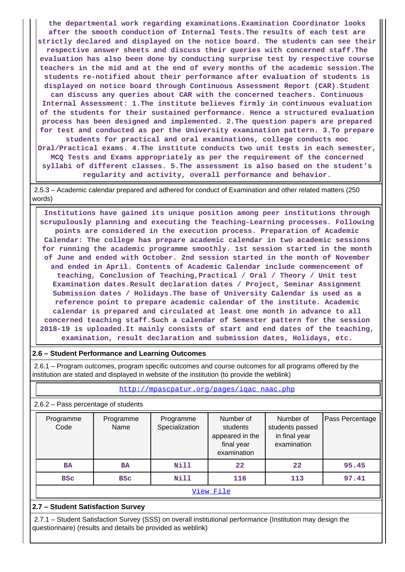**the departmental work regarding examinations.Examination Coordinator looks after the smooth conduction of Internal Tests.The results of each test are strictly declared and displayed on the notice board. The students can see their respective answer sheets and discuss their queries with concerned staff.The evaluation has also been done by conducting surprise test by respective course teachers in the mid and at the end of every months of the academic session.The students re-notified about their performance after evaluation of students is displayed on notice board through Continuous Assessment Report (CAR).Student can discuss any queries about CAR with the concerned teachers. Continuous Internal Assessment: 1.The institute believes firmly in continuous evaluation of the students for their sustained performance. Hence a structured evaluation process has been designed and implemented. 2.The question papers are prepared for test and conducted as per the University examination pattern. 3.To prepare students for practical and oral examinations, college conducts moc Oral/Practical exams. 4.The institute conducts two unit tests in each semester,**

**MCQ Tests and Exams appropriately as per the requirement of the concerned syllabi of different classes. 5.The assessment is also based on the student's regularity and activity, overall performance and behavior.**

 2.5.3 – Academic calendar prepared and adhered for conduct of Examination and other related matters (250 words)

 **Institutions have gained its unique position among peer institutions through scrupulously planning and executing the Teaching-Learning processes. Following points are considered in the execution process. Preparation of Academic Calendar: The college has prepare academic calendar in two academic sessions for running the academic programme smoothly. 1st session started in the month of June and ended with October. 2nd session started in the month of November and ended in April. Contents of Academic Calendar include commencement of teaching, Conclusion of Teaching,Practical / Oral / Theory / Unit test Examination dates.Result declaration dates / Project, Seminar Assignment Submission dates / Holidays.The base of University Calendar is used as a reference point to prepare academic calendar of the institute. Academic calendar is prepared and circulated at least one month in advance to all concerned teaching staff.Such a calendar of Semester pattern for the session 2018-19 is uploaded.It mainly consists of start and end dates of the teaching, examination, result declaration and submission dates, Holidays, etc.**

### **2.6 – Student Performance and Learning Outcomes**

 2.6.1 – Program outcomes, program specific outcomes and course outcomes for all programs offered by the institution are stated and displayed in website of the institution (to provide the weblink)

| $2.6.2$ – Pass percentage of students               |                   |                             |                                                                       |                                                              |                 |  |  |  |
|-----------------------------------------------------|-------------------|-----------------------------|-----------------------------------------------------------------------|--------------------------------------------------------------|-----------------|--|--|--|
| Programme<br>Code                                   | Programme<br>Name | Programme<br>Specialization | Number of<br>students<br>appeared in the<br>final year<br>examination | Number of<br>students passed<br>in final year<br>examination | Pass Percentage |  |  |  |
| Nill<br>22<br>95.45<br>22<br><b>BA</b><br><b>BA</b> |                   |                             |                                                                       |                                                              |                 |  |  |  |
| <b>BSC</b>                                          | <b>BSC</b>        | Nill                        | 116                                                                   | 113                                                          | 97.41           |  |  |  |
|                                                     |                   |                             | View File                                                             |                                                              |                 |  |  |  |

#### **2.7 – Student Satisfaction Survey**

 2.7.1 – Student Satisfaction Survey (SSS) on overall institutional performance (Institution may design the questionnaire) (results and details be provided as weblink)

#### [http://mpascpatur.org/pages/iqac\\_naac.php](http://mpascpatur.org/pages/iqac_naac.php)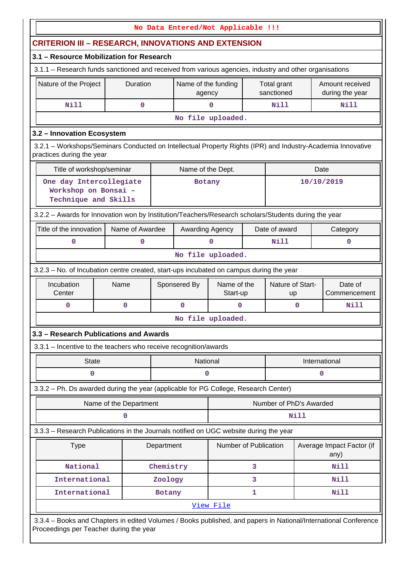|                                                                                                                                                            |                                                                                         |            | No Data Entered/Not Applicable !!! |                         |   |                           |      |                                    |
|------------------------------------------------------------------------------------------------------------------------------------------------------------|-----------------------------------------------------------------------------------------|------------|------------------------------------|-------------------------|---|---------------------------|------|------------------------------------|
| <b>CRITERION III - RESEARCH, INNOVATIONS AND EXTENSION</b>                                                                                                 |                                                                                         |            |                                    |                         |   |                           |      |                                    |
| 3.1 - Resource Mobilization for Research                                                                                                                   |                                                                                         |            |                                    |                         |   |                           |      |                                    |
| 3.1.1 - Research funds sanctioned and received from various agencies, industry and other organisations                                                     |                                                                                         |            |                                    |                         |   |                           |      |                                    |
| Nature of the Project                                                                                                                                      | Duration                                                                                |            | Name of the funding<br>agency      |                         |   | Total grant<br>sanctioned |      | Amount received<br>during the year |
| Nill<br>0<br>Nill<br>Nill<br>$\mathbf 0$                                                                                                                   |                                                                                         |            |                                    |                         |   |                           |      |                                    |
|                                                                                                                                                            |                                                                                         |            |                                    | No file uploaded.       |   |                           |      |                                    |
| 3.2 - Innovation Ecosystem                                                                                                                                 |                                                                                         |            |                                    |                         |   |                           |      |                                    |
| 3.2.1 - Workshops/Seminars Conducted on Intellectual Property Rights (IPR) and Industry-Academia Innovative<br>practices during the year                   |                                                                                         |            |                                    |                         |   |                           |      |                                    |
| Title of workshop/seminar                                                                                                                                  |                                                                                         |            | Name of the Dept.                  |                         |   |                           |      | Date                               |
| One day Intercollegiate<br>Workshop on Bonsai -<br>Technique and Skills                                                                                    |                                                                                         |            | <b>Botany</b>                      |                         |   |                           |      | 10/10/2019                         |
| 3.2.2 - Awards for Innovation won by Institution/Teachers/Research scholars/Students during the year                                                       |                                                                                         |            |                                    |                         |   |                           |      |                                    |
| Title of the innovation                                                                                                                                    | Name of Awardee                                                                         |            | Awarding Agency                    |                         |   | Date of award             |      | Category                           |
| 0                                                                                                                                                          | 0                                                                                       |            |                                    | $\Omega$                |   | Nill                      |      | $\mathbf 0$                        |
| No file uploaded.                                                                                                                                          |                                                                                         |            |                                    |                         |   |                           |      |                                    |
|                                                                                                                                                            | 3.2.3 - No. of Incubation centre created, start-ups incubated on campus during the year |            |                                    |                         |   |                           |      |                                    |
| Incubation<br>Center                                                                                                                                       | Name                                                                                    |            | Sponsered By                       | Name of the<br>Start-up |   | Nature of Start-<br>up    |      | Date of<br>Commencement            |
| 0                                                                                                                                                          | 0                                                                                       |            | 0                                  | $\mathbf{0}$            |   |                           | 0    | Nill                               |
|                                                                                                                                                            |                                                                                         |            |                                    | No file uploaded.       |   |                           |      |                                    |
| 3.3 - Research Publications and Awards                                                                                                                     |                                                                                         |            |                                    |                         |   |                           |      |                                    |
| 3.3.1 - Incentive to the teachers who receive recognition/awards                                                                                           |                                                                                         |            |                                    |                         |   |                           |      |                                    |
| <b>State</b>                                                                                                                                               |                                                                                         |            | National                           |                         |   |                           |      | International                      |
| $\mathbf 0$                                                                                                                                                |                                                                                         |            | 0                                  |                         |   |                           |      | $\mathbf 0$                        |
| 3.3.2 - Ph. Ds awarded during the year (applicable for PG College, Research Center)                                                                        |                                                                                         |            |                                    |                         |   |                           |      |                                    |
|                                                                                                                                                            | Name of the Department                                                                  |            |                                    |                         |   | Number of PhD's Awarded   |      |                                    |
|                                                                                                                                                            | 0                                                                                       |            |                                    |                         |   |                           | Nill |                                    |
| 3.3.3 - Research Publications in the Journals notified on UGC website during the year                                                                      |                                                                                         |            |                                    |                         |   |                           |      |                                    |
| <b>Type</b>                                                                                                                                                |                                                                                         | Department |                                    | Number of Publication   |   |                           |      | Average Impact Factor (if<br>any)  |
| National                                                                                                                                                   |                                                                                         | Chemistry  |                                    |                         | 3 |                           |      | <b>Nill</b>                        |
| International                                                                                                                                              |                                                                                         | Zoology    |                                    |                         | 3 |                           |      | Nill                               |
| International                                                                                                                                              |                                                                                         | Botany     |                                    |                         | 1 |                           |      | <b>Nill</b>                        |
|                                                                                                                                                            |                                                                                         |            |                                    | <u>View File</u>        |   |                           |      |                                    |
| 3.3.4 - Books and Chapters in edited Volumes / Books published, and papers in National/International Conference<br>Proceedings per Teacher during the year |                                                                                         |            |                                    |                         |   |                           |      |                                    |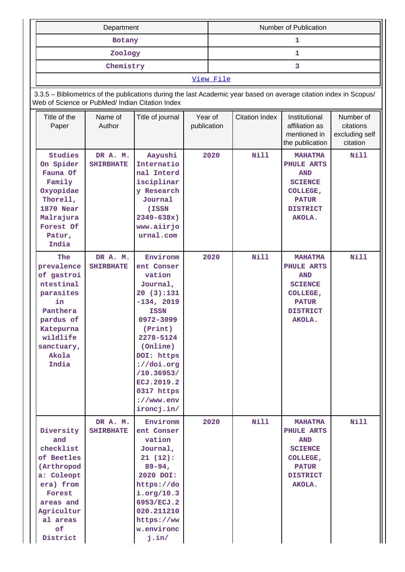|                                                                                                                                                         | Department                   |                                                                                                                                                                                                                                             |                        | Number of Publication |                       |                                                                                                                       |                                                      |  |  |
|---------------------------------------------------------------------------------------------------------------------------------------------------------|------------------------------|---------------------------------------------------------------------------------------------------------------------------------------------------------------------------------------------------------------------------------------------|------------------------|-----------------------|-----------------------|-----------------------------------------------------------------------------------------------------------------------|------------------------------------------------------|--|--|
|                                                                                                                                                         | Botany                       |                                                                                                                                                                                                                                             |                        | 1                     |                       |                                                                                                                       |                                                      |  |  |
|                                                                                                                                                         | Zoology                      |                                                                                                                                                                                                                                             |                        | $\mathbf{1}$          |                       |                                                                                                                       |                                                      |  |  |
|                                                                                                                                                         | Chemistry                    |                                                                                                                                                                                                                                             |                        |                       |                       | 3                                                                                                                     |                                                      |  |  |
|                                                                                                                                                         |                              |                                                                                                                                                                                                                                             |                        | View File             |                       |                                                                                                                       |                                                      |  |  |
|                                                                                                                                                         |                              | 3.3.5 - Bibliometrics of the publications during the last Academic year based on average citation index in Scopus/                                                                                                                          |                        |                       |                       |                                                                                                                       |                                                      |  |  |
| Web of Science or PubMed/ Indian Citation Index                                                                                                         |                              |                                                                                                                                                                                                                                             |                        |                       |                       |                                                                                                                       |                                                      |  |  |
| Title of the<br>Paper                                                                                                                                   | Name of<br>Author            | Title of journal                                                                                                                                                                                                                            | Year of<br>publication |                       | <b>Citation Index</b> | Institutional<br>affiliation as<br>mentioned in<br>the publication                                                    | Number of<br>citations<br>excluding self<br>citation |  |  |
| <b>Studies</b><br>On Spider<br>Fauna Of<br>Family<br>Oxyopidae<br>Thorell,<br>1870 Near<br>Malrajura<br>Forest Of<br>Patur,<br>India                    | DR A. M.<br><b>SHIRBHATE</b> | Aayushi<br>Internatio<br>nal Interd<br>isciplinar<br>y Research<br>Journal<br>(ISSN<br>2349-638x)<br>www.aiirjo<br>urnal.com                                                                                                                |                        | 2020                  | <b>Nill</b>           | <b>MAHATMA</b><br>PHULE ARTS<br><b>AND</b><br><b>SCIENCE</b><br>COLLEGE,<br><b>PATUR</b><br><b>DISTRICT</b><br>AKOLA. | Nill                                                 |  |  |
| The<br>prevalence<br>of gastroi<br>ntestinal<br>parasites<br>in<br>Panthera<br>pardus of<br>Katepurna<br>wildlife<br>sanctuary,<br>Akola<br>India       | DR A. M.<br><b>SHIRBHATE</b> | Environm<br>ent Conser<br>vation<br>Journal,<br>20(3):131<br>$-134, 2019$<br><b>ISSN</b><br>0972-3099<br>(Print)<br>2278-5124<br>(Online)<br>DOI: https<br>://doi.org<br>/10.36953/<br>ECJ.2019.2<br>0317 https<br>://www.env<br>ironcj.in/ |                        | 2020                  | <b>Nill</b>           | <b>MAHATMA</b><br>PHULE ARTS<br><b>AND</b><br><b>SCIENCE</b><br>COLLEGE,<br><b>PATUR</b><br><b>DISTRICT</b><br>AKOLA. | Nill                                                 |  |  |
| Diversity<br>and<br>checklist<br>of Beetles<br>(Arthropod<br>a: Coleopt<br>era) from<br>Forest<br>areas and<br>Agricultur<br>al areas<br>of<br>District | DR A. M.<br><b>SHIRBHATE</b> | Environm<br>ent Conser<br>vation<br>Journal,<br>21(12):<br>$89 - 94,$<br>2020 DOI:<br>https://do<br>i.org/10.3<br>6953/ECJ.2<br>020.211210<br>https://ww<br>w.environc<br>j.in/                                                             |                        | 2020                  | Nill                  | <b>MAHATMA</b><br>PHULE ARTS<br><b>AND</b><br><b>SCIENCE</b><br>COLLEGE,<br><b>PATUR</b><br><b>DISTRICT</b><br>AKOLA. | <b>Nill</b>                                          |  |  |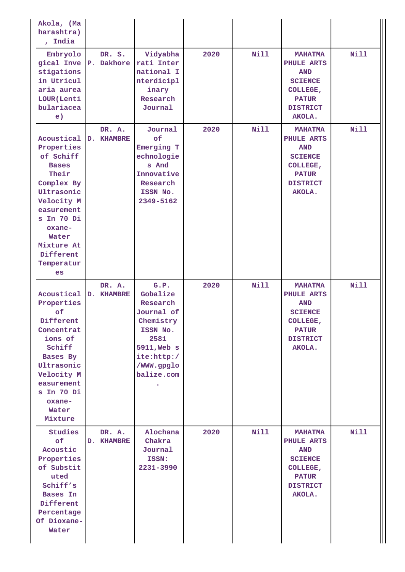| Akola, (Ma<br>harashtra)<br>, India                                                                                                                                                                               |                                 |                                                                                                                                      |      |             |                                                                                                                       |             |
|-------------------------------------------------------------------------------------------------------------------------------------------------------------------------------------------------------------------|---------------------------------|--------------------------------------------------------------------------------------------------------------------------------------|------|-------------|-----------------------------------------------------------------------------------------------------------------------|-------------|
| Embryolo<br>stigations<br>in Utricul<br>aria aurea<br>LOUR (Lenti<br>bulariacea<br>e)                                                                                                                             | DR. S.<br>gical Inve P. Dakhore | Vidyabha<br>rati Inter<br>national I<br>nterdicipl<br>inary<br>Research<br>Journal                                                   | 2020 | <b>Nill</b> | <b>MAHATMA</b><br>PHULE ARTS<br><b>AND</b><br><b>SCIENCE</b><br>COLLEGE,<br><b>PATUR</b><br><b>DISTRICT</b><br>AKOLA. | <b>Nill</b> |
| Acoustical D. KHAMBRE<br>Properties<br>of Schiff<br><b>Bases</b><br>Their<br>Complex By<br>Ultrasonic<br>Velocity M<br>easurement<br>s In 70 Di<br>oxane-<br>Water<br>Mixture At<br>Different<br>Temperatur<br>es | DR. A.                          | Journal<br>of<br>Emerging T<br>echnologie<br>s And<br>Innovative<br>Research<br>ISSN No.<br>2349-5162                                | 2020 | <b>Nill</b> | <b>MAHATMA</b><br>PHULE ARTS<br><b>AND</b><br><b>SCIENCE</b><br>COLLEGE,<br><b>PATUR</b><br><b>DISTRICT</b><br>AKOLA. | <b>Nill</b> |
| Properties<br>of<br>Different<br>Concentrat<br>ions of<br>Schiff<br>Bases By<br>Ultrasonic<br>Velocity M<br>easurement<br>s In 70 Di<br>oxane-<br>Water<br>Mixture                                                | DR. A.<br>Acoustical D. KHAMBRE | G.P.<br>Gobalize<br>Research<br>Journal of<br>Chemistry<br>ISSN No.<br>2581<br>5911, Web s<br>ite:http:/<br>/WWW.gpglo<br>balize.com | 2020 | Nill        | <b>MAHATMA</b><br>PHULE ARTS<br><b>AND</b><br><b>SCIENCE</b><br>COLLEGE,<br><b>PATUR</b><br><b>DISTRICT</b><br>AKOLA. | <b>Nill</b> |
| Studies<br>of<br>Acoustic<br>Properties<br>of Substit<br>uted<br>Schiff's<br><b>Bases In</b><br>Different<br>Percentage<br>Of Dioxane-<br>Water                                                                   | DR. A.<br><b>D. KHAMBRE</b>     | Alochana<br>Chakra<br>Journal<br>ISSN:<br>2231-3990                                                                                  | 2020 | Nill        | <b>MAHATMA</b><br>PHULE ARTS<br><b>AND</b><br><b>SCIENCE</b><br>COLLEGE,<br><b>PATUR</b><br><b>DISTRICT</b><br>AKOLA. | <b>Nill</b> |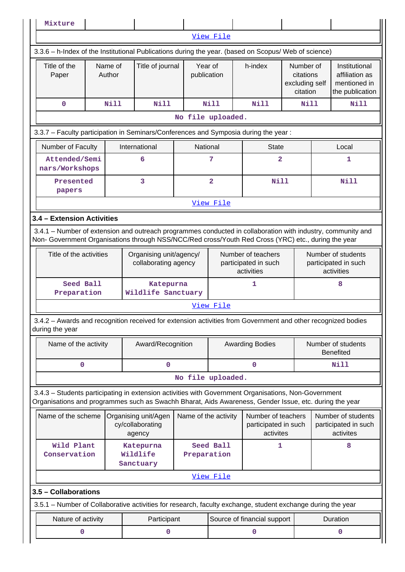| View File<br>3.3.6 - h-Index of the Institutional Publications during the year. (based on Scopus/ Web of science)<br>Year of<br>Title of the<br>Name of<br>Title of journal<br>h-index<br>Number of<br>Institutional<br>publication<br>Paper<br>Author<br>citations<br>affiliation as<br>excluding self<br>mentioned in<br>citation<br>the publication<br>Nill<br><b>Nill</b><br><b>Nill</b><br><b>Nill</b><br>Nill<br>0<br>Nill<br>No file uploaded.<br>3.3.7 - Faculty participation in Seminars/Conferences and Symposia during the year:<br>Number of Faculty<br>International<br>National<br><b>State</b><br>Local<br>Attended/Semi<br>7<br>$\overline{a}$<br>6<br>1<br>nars/Workshops<br>3<br>$\overline{\mathbf{2}}$<br><b>Nill</b><br><b>Nill</b><br>Presented<br>papers<br>View File<br>3.4 - Extension Activities<br>3.4.1 – Number of extension and outreach programmes conducted in collaboration with industry, community and<br>Non- Government Organisations through NSS/NCC/Red cross/Youth Red Cross (YRC) etc., during the year<br>Title of the activities<br>Organising unit/agency/<br>Number of teachers<br>Number of students<br>participated in such<br>participated in such<br>collaborating agency<br>activities<br>activities<br>Seed Ball<br>1<br>8<br>Katepurna<br>Wildlife Sanctuary<br>Preparation<br>View File<br>3.4.2 - Awards and recognition received for extension activities from Government and other recognized bodies<br>during the year<br>Number of students<br>Name of the activity<br>Award/Recognition<br><b>Awarding Bodies</b><br><b>Benefited</b><br>0<br>0<br>0<br>Nill<br>No file uploaded.<br>3.4.3 - Students participating in extension activities with Government Organisations, Non-Government<br>Organisations and programmes such as Swachh Bharat, Aids Awareness, Gender Issue, etc. during the year<br>Name of the scheme<br>Number of teachers<br>Organising unit/Agen<br>Name of the activity<br>Number of students<br>cy/collaborating<br>participated in such<br>participated in such<br>activites<br>activites<br>agency<br>Wild Plant<br>Seed Ball<br>1<br>8<br>Katepurna<br>Wildlife<br>Conservation<br>Preparation<br>Sanctuary<br>View File<br>3.5 - Collaborations<br>3.5.1 – Number of Collaborative activities for research, faculty exchange, student exchange during the year<br>Duration<br>Nature of activity<br>Participant<br>Source of financial support<br>0<br>0<br>0<br>0 | Mixture |  |  |  |  |  |  |  |  |
|-------------------------------------------------------------------------------------------------------------------------------------------------------------------------------------------------------------------------------------------------------------------------------------------------------------------------------------------------------------------------------------------------------------------------------------------------------------------------------------------------------------------------------------------------------------------------------------------------------------------------------------------------------------------------------------------------------------------------------------------------------------------------------------------------------------------------------------------------------------------------------------------------------------------------------------------------------------------------------------------------------------------------------------------------------------------------------------------------------------------------------------------------------------------------------------------------------------------------------------------------------------------------------------------------------------------------------------------------------------------------------------------------------------------------------------------------------------------------------------------------------------------------------------------------------------------------------------------------------------------------------------------------------------------------------------------------------------------------------------------------------------------------------------------------------------------------------------------------------------------------------------------------------------------------------------------------------------------------------------------------------------------------------------------------------------------------------------------------------------------------------------------------------------------------------------------------------------------------------------------------------------------------------------------------------------------------------------------------------------------------------------------------------------------------------------------------------------|---------|--|--|--|--|--|--|--|--|
|                                                                                                                                                                                                                                                                                                                                                                                                                                                                                                                                                                                                                                                                                                                                                                                                                                                                                                                                                                                                                                                                                                                                                                                                                                                                                                                                                                                                                                                                                                                                                                                                                                                                                                                                                                                                                                                                                                                                                                                                                                                                                                                                                                                                                                                                                                                                                                                                                                                             |         |  |  |  |  |  |  |  |  |
|                                                                                                                                                                                                                                                                                                                                                                                                                                                                                                                                                                                                                                                                                                                                                                                                                                                                                                                                                                                                                                                                                                                                                                                                                                                                                                                                                                                                                                                                                                                                                                                                                                                                                                                                                                                                                                                                                                                                                                                                                                                                                                                                                                                                                                                                                                                                                                                                                                                             |         |  |  |  |  |  |  |  |  |
|                                                                                                                                                                                                                                                                                                                                                                                                                                                                                                                                                                                                                                                                                                                                                                                                                                                                                                                                                                                                                                                                                                                                                                                                                                                                                                                                                                                                                                                                                                                                                                                                                                                                                                                                                                                                                                                                                                                                                                                                                                                                                                                                                                                                                                                                                                                                                                                                                                                             |         |  |  |  |  |  |  |  |  |
|                                                                                                                                                                                                                                                                                                                                                                                                                                                                                                                                                                                                                                                                                                                                                                                                                                                                                                                                                                                                                                                                                                                                                                                                                                                                                                                                                                                                                                                                                                                                                                                                                                                                                                                                                                                                                                                                                                                                                                                                                                                                                                                                                                                                                                                                                                                                                                                                                                                             |         |  |  |  |  |  |  |  |  |
|                                                                                                                                                                                                                                                                                                                                                                                                                                                                                                                                                                                                                                                                                                                                                                                                                                                                                                                                                                                                                                                                                                                                                                                                                                                                                                                                                                                                                                                                                                                                                                                                                                                                                                                                                                                                                                                                                                                                                                                                                                                                                                                                                                                                                                                                                                                                                                                                                                                             |         |  |  |  |  |  |  |  |  |
|                                                                                                                                                                                                                                                                                                                                                                                                                                                                                                                                                                                                                                                                                                                                                                                                                                                                                                                                                                                                                                                                                                                                                                                                                                                                                                                                                                                                                                                                                                                                                                                                                                                                                                                                                                                                                                                                                                                                                                                                                                                                                                                                                                                                                                                                                                                                                                                                                                                             |         |  |  |  |  |  |  |  |  |
|                                                                                                                                                                                                                                                                                                                                                                                                                                                                                                                                                                                                                                                                                                                                                                                                                                                                                                                                                                                                                                                                                                                                                                                                                                                                                                                                                                                                                                                                                                                                                                                                                                                                                                                                                                                                                                                                                                                                                                                                                                                                                                                                                                                                                                                                                                                                                                                                                                                             |         |  |  |  |  |  |  |  |  |
|                                                                                                                                                                                                                                                                                                                                                                                                                                                                                                                                                                                                                                                                                                                                                                                                                                                                                                                                                                                                                                                                                                                                                                                                                                                                                                                                                                                                                                                                                                                                                                                                                                                                                                                                                                                                                                                                                                                                                                                                                                                                                                                                                                                                                                                                                                                                                                                                                                                             |         |  |  |  |  |  |  |  |  |
|                                                                                                                                                                                                                                                                                                                                                                                                                                                                                                                                                                                                                                                                                                                                                                                                                                                                                                                                                                                                                                                                                                                                                                                                                                                                                                                                                                                                                                                                                                                                                                                                                                                                                                                                                                                                                                                                                                                                                                                                                                                                                                                                                                                                                                                                                                                                                                                                                                                             |         |  |  |  |  |  |  |  |  |
|                                                                                                                                                                                                                                                                                                                                                                                                                                                                                                                                                                                                                                                                                                                                                                                                                                                                                                                                                                                                                                                                                                                                                                                                                                                                                                                                                                                                                                                                                                                                                                                                                                                                                                                                                                                                                                                                                                                                                                                                                                                                                                                                                                                                                                                                                                                                                                                                                                                             |         |  |  |  |  |  |  |  |  |
|                                                                                                                                                                                                                                                                                                                                                                                                                                                                                                                                                                                                                                                                                                                                                                                                                                                                                                                                                                                                                                                                                                                                                                                                                                                                                                                                                                                                                                                                                                                                                                                                                                                                                                                                                                                                                                                                                                                                                                                                                                                                                                                                                                                                                                                                                                                                                                                                                                                             |         |  |  |  |  |  |  |  |  |
|                                                                                                                                                                                                                                                                                                                                                                                                                                                                                                                                                                                                                                                                                                                                                                                                                                                                                                                                                                                                                                                                                                                                                                                                                                                                                                                                                                                                                                                                                                                                                                                                                                                                                                                                                                                                                                                                                                                                                                                                                                                                                                                                                                                                                                                                                                                                                                                                                                                             |         |  |  |  |  |  |  |  |  |
|                                                                                                                                                                                                                                                                                                                                                                                                                                                                                                                                                                                                                                                                                                                                                                                                                                                                                                                                                                                                                                                                                                                                                                                                                                                                                                                                                                                                                                                                                                                                                                                                                                                                                                                                                                                                                                                                                                                                                                                                                                                                                                                                                                                                                                                                                                                                                                                                                                                             |         |  |  |  |  |  |  |  |  |
|                                                                                                                                                                                                                                                                                                                                                                                                                                                                                                                                                                                                                                                                                                                                                                                                                                                                                                                                                                                                                                                                                                                                                                                                                                                                                                                                                                                                                                                                                                                                                                                                                                                                                                                                                                                                                                                                                                                                                                                                                                                                                                                                                                                                                                                                                                                                                                                                                                                             |         |  |  |  |  |  |  |  |  |
|                                                                                                                                                                                                                                                                                                                                                                                                                                                                                                                                                                                                                                                                                                                                                                                                                                                                                                                                                                                                                                                                                                                                                                                                                                                                                                                                                                                                                                                                                                                                                                                                                                                                                                                                                                                                                                                                                                                                                                                                                                                                                                                                                                                                                                                                                                                                                                                                                                                             |         |  |  |  |  |  |  |  |  |
|                                                                                                                                                                                                                                                                                                                                                                                                                                                                                                                                                                                                                                                                                                                                                                                                                                                                                                                                                                                                                                                                                                                                                                                                                                                                                                                                                                                                                                                                                                                                                                                                                                                                                                                                                                                                                                                                                                                                                                                                                                                                                                                                                                                                                                                                                                                                                                                                                                                             |         |  |  |  |  |  |  |  |  |
|                                                                                                                                                                                                                                                                                                                                                                                                                                                                                                                                                                                                                                                                                                                                                                                                                                                                                                                                                                                                                                                                                                                                                                                                                                                                                                                                                                                                                                                                                                                                                                                                                                                                                                                                                                                                                                                                                                                                                                                                                                                                                                                                                                                                                                                                                                                                                                                                                                                             |         |  |  |  |  |  |  |  |  |
|                                                                                                                                                                                                                                                                                                                                                                                                                                                                                                                                                                                                                                                                                                                                                                                                                                                                                                                                                                                                                                                                                                                                                                                                                                                                                                                                                                                                                                                                                                                                                                                                                                                                                                                                                                                                                                                                                                                                                                                                                                                                                                                                                                                                                                                                                                                                                                                                                                                             |         |  |  |  |  |  |  |  |  |
|                                                                                                                                                                                                                                                                                                                                                                                                                                                                                                                                                                                                                                                                                                                                                                                                                                                                                                                                                                                                                                                                                                                                                                                                                                                                                                                                                                                                                                                                                                                                                                                                                                                                                                                                                                                                                                                                                                                                                                                                                                                                                                                                                                                                                                                                                                                                                                                                                                                             |         |  |  |  |  |  |  |  |  |
|                                                                                                                                                                                                                                                                                                                                                                                                                                                                                                                                                                                                                                                                                                                                                                                                                                                                                                                                                                                                                                                                                                                                                                                                                                                                                                                                                                                                                                                                                                                                                                                                                                                                                                                                                                                                                                                                                                                                                                                                                                                                                                                                                                                                                                                                                                                                                                                                                                                             |         |  |  |  |  |  |  |  |  |
|                                                                                                                                                                                                                                                                                                                                                                                                                                                                                                                                                                                                                                                                                                                                                                                                                                                                                                                                                                                                                                                                                                                                                                                                                                                                                                                                                                                                                                                                                                                                                                                                                                                                                                                                                                                                                                                                                                                                                                                                                                                                                                                                                                                                                                                                                                                                                                                                                                                             |         |  |  |  |  |  |  |  |  |
|                                                                                                                                                                                                                                                                                                                                                                                                                                                                                                                                                                                                                                                                                                                                                                                                                                                                                                                                                                                                                                                                                                                                                                                                                                                                                                                                                                                                                                                                                                                                                                                                                                                                                                                                                                                                                                                                                                                                                                                                                                                                                                                                                                                                                                                                                                                                                                                                                                                             |         |  |  |  |  |  |  |  |  |
|                                                                                                                                                                                                                                                                                                                                                                                                                                                                                                                                                                                                                                                                                                                                                                                                                                                                                                                                                                                                                                                                                                                                                                                                                                                                                                                                                                                                                                                                                                                                                                                                                                                                                                                                                                                                                                                                                                                                                                                                                                                                                                                                                                                                                                                                                                                                                                                                                                                             |         |  |  |  |  |  |  |  |  |
|                                                                                                                                                                                                                                                                                                                                                                                                                                                                                                                                                                                                                                                                                                                                                                                                                                                                                                                                                                                                                                                                                                                                                                                                                                                                                                                                                                                                                                                                                                                                                                                                                                                                                                                                                                                                                                                                                                                                                                                                                                                                                                                                                                                                                                                                                                                                                                                                                                                             |         |  |  |  |  |  |  |  |  |
|                                                                                                                                                                                                                                                                                                                                                                                                                                                                                                                                                                                                                                                                                                                                                                                                                                                                                                                                                                                                                                                                                                                                                                                                                                                                                                                                                                                                                                                                                                                                                                                                                                                                                                                                                                                                                                                                                                                                                                                                                                                                                                                                                                                                                                                                                                                                                                                                                                                             |         |  |  |  |  |  |  |  |  |
|                                                                                                                                                                                                                                                                                                                                                                                                                                                                                                                                                                                                                                                                                                                                                                                                                                                                                                                                                                                                                                                                                                                                                                                                                                                                                                                                                                                                                                                                                                                                                                                                                                                                                                                                                                                                                                                                                                                                                                                                                                                                                                                                                                                                                                                                                                                                                                                                                                                             |         |  |  |  |  |  |  |  |  |
|                                                                                                                                                                                                                                                                                                                                                                                                                                                                                                                                                                                                                                                                                                                                                                                                                                                                                                                                                                                                                                                                                                                                                                                                                                                                                                                                                                                                                                                                                                                                                                                                                                                                                                                                                                                                                                                                                                                                                                                                                                                                                                                                                                                                                                                                                                                                                                                                                                                             |         |  |  |  |  |  |  |  |  |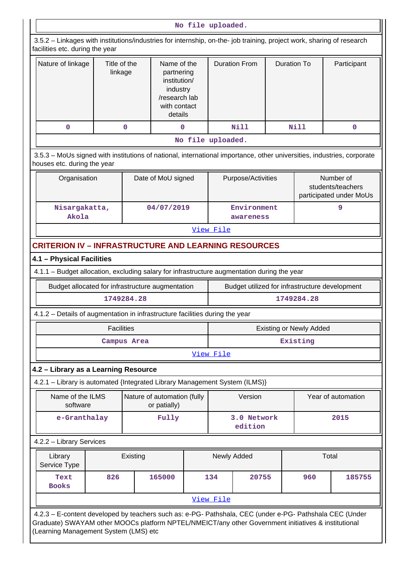|                                                                                                                                                                                                                | No file uploaded.                                           |                                                                                                                              |                                             |                   |           |                                                |                    |                                |                                |             |
|----------------------------------------------------------------------------------------------------------------------------------------------------------------------------------------------------------------|-------------------------------------------------------------|------------------------------------------------------------------------------------------------------------------------------|---------------------------------------------|-------------------|-----------|------------------------------------------------|--------------------|--------------------------------|--------------------------------|-------------|
| 3.5.2 - Linkages with institutions/industries for internship, on-the- job training, project work, sharing of research<br>facilities etc. during the year                                                       |                                                             |                                                                                                                              |                                             |                   |           |                                                |                    |                                |                                |             |
| Nature of linkage                                                                                                                                                                                              |                                                             | Title of the<br>Name of the<br>linkage<br>partnering<br>institution/<br>industry<br>/research lab<br>with contact<br>details |                                             |                   |           | <b>Duration From</b>                           | <b>Duration To</b> |                                |                                | Participant |
| $\mathbf 0$                                                                                                                                                                                                    |                                                             | 0                                                                                                                            | $\mathbf 0$                                 |                   |           | <b>Nill</b>                                    |                    | <b>Nill</b>                    |                                | $\mathbf 0$ |
|                                                                                                                                                                                                                |                                                             |                                                                                                                              |                                             | No file uploaded. |           |                                                |                    |                                |                                |             |
| 3.5.3 - MoUs signed with institutions of national, international importance, other universities, industries, corporate<br>houses etc. during the year                                                          |                                                             |                                                                                                                              |                                             |                   |           |                                                |                    |                                |                                |             |
|                                                                                                                                                                                                                | Organisation<br>Date of MoU signed                          |                                                                                                                              |                                             |                   |           | Purpose/Activities                             |                    | participated under MoUs        | Number of<br>students/teachers |             |
| Nisargakatta,<br>Akola                                                                                                                                                                                         |                                                             |                                                                                                                              | 04/07/2019                                  |                   |           | Environment<br>awareness                       |                    |                                | 9                              |             |
|                                                                                                                                                                                                                | View File                                                   |                                                                                                                              |                                             |                   |           |                                                |                    |                                |                                |             |
|                                                                                                                                                                                                                | <b>CRITERION IV - INFRASTRUCTURE AND LEARNING RESOURCES</b> |                                                                                                                              |                                             |                   |           |                                                |                    |                                |                                |             |
|                                                                                                                                                                                                                | 4.1 - Physical Facilities                                   |                                                                                                                              |                                             |                   |           |                                                |                    |                                |                                |             |
| 4.1.1 - Budget allocation, excluding salary for infrastructure augmentation during the year                                                                                                                    |                                                             |                                                                                                                              |                                             |                   |           |                                                |                    |                                |                                |             |
| Budget allocated for infrastructure augmentation                                                                                                                                                               |                                                             |                                                                                                                              |                                             |                   |           | Budget utilized for infrastructure development |                    |                                |                                |             |
|                                                                                                                                                                                                                |                                                             | 1749284.28                                                                                                                   |                                             |                   |           |                                                |                    | 1749284.28                     |                                |             |
| 4.1.2 – Details of augmentation in infrastructure facilities during the year                                                                                                                                   |                                                             |                                                                                                                              |                                             |                   |           |                                                |                    |                                |                                |             |
|                                                                                                                                                                                                                | <b>Facilities</b>                                           |                                                                                                                              |                                             |                   |           |                                                |                    | <b>Existing or Newly Added</b> |                                |             |
|                                                                                                                                                                                                                |                                                             | Campus Area                                                                                                                  |                                             |                   |           |                                                |                    | Existing                       |                                |             |
|                                                                                                                                                                                                                |                                                             |                                                                                                                              |                                             |                   | View File |                                                |                    |                                |                                |             |
|                                                                                                                                                                                                                | 4.2 - Library as a Learning Resource                        |                                                                                                                              |                                             |                   |           |                                                |                    |                                |                                |             |
| 4.2.1 - Library is automated {Integrated Library Management System (ILMS)}                                                                                                                                     |                                                             |                                                                                                                              |                                             |                   |           |                                                |                    |                                |                                |             |
| Name of the ILMS<br>software                                                                                                                                                                                   |                                                             |                                                                                                                              | Nature of automation (fully<br>or patially) |                   |           | Version                                        |                    |                                | Year of automation             |             |
| e-Granthalay                                                                                                                                                                                                   |                                                             |                                                                                                                              | Fully                                       |                   |           | 3.0 Network<br>edition                         |                    |                                | 2015                           |             |
| 4.2.2 - Library Services                                                                                                                                                                                       |                                                             |                                                                                                                              |                                             |                   |           |                                                |                    |                                |                                |             |
| Library<br>Service Type                                                                                                                                                                                        |                                                             | Existing                                                                                                                     |                                             |                   |           | Newly Added                                    |                    |                                | Total                          |             |
| Text<br><b>Books</b>                                                                                                                                                                                           | 826                                                         |                                                                                                                              | 165000                                      |                   | 134       | 20755                                          |                    | 960                            |                                | 185755      |
|                                                                                                                                                                                                                |                                                             |                                                                                                                              |                                             |                   | View File |                                                |                    |                                |                                |             |
| 4.2.3 - E-content developed by teachers such as: e-PG- Pathshala, CEC (under e-PG- Pathshala CEC (Under<br>Graduate) SWAYAM other MOOCs platform NPTEL/NMEICT/any other Government initiatives & institutional |                                                             |                                                                                                                              |                                             |                   |           |                                                |                    |                                |                                |             |
| (Learning Management System (LMS) etc                                                                                                                                                                          |                                                             |                                                                                                                              |                                             |                   |           |                                                |                    |                                |                                |             |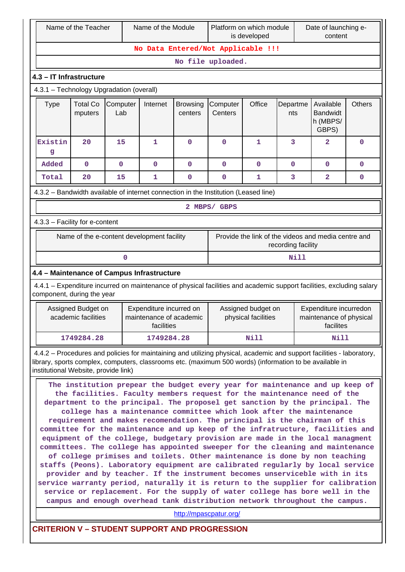|                                                                                                                                                                                                                                                                          | Name of the Teacher                                                                                                                                                                                                                                                                                                                                                                                                                                                                                                                                                                                                                                                                                                                                                                                                                                                                                                                                                                                                                                                                           |                 | Name of the Module                                               |                            | Platform on which module<br>is developed | Date of launching e-<br>content           |                    |                                                                |               |
|--------------------------------------------------------------------------------------------------------------------------------------------------------------------------------------------------------------------------------------------------------------------------|-----------------------------------------------------------------------------------------------------------------------------------------------------------------------------------------------------------------------------------------------------------------------------------------------------------------------------------------------------------------------------------------------------------------------------------------------------------------------------------------------------------------------------------------------------------------------------------------------------------------------------------------------------------------------------------------------------------------------------------------------------------------------------------------------------------------------------------------------------------------------------------------------------------------------------------------------------------------------------------------------------------------------------------------------------------------------------------------------|-----------------|------------------------------------------------------------------|----------------------------|------------------------------------------|-------------------------------------------|--------------------|----------------------------------------------------------------|---------------|
|                                                                                                                                                                                                                                                                          |                                                                                                                                                                                                                                                                                                                                                                                                                                                                                                                                                                                                                                                                                                                                                                                                                                                                                                                                                                                                                                                                                               |                 |                                                                  |                            | No Data Entered/Not Applicable !!!       |                                           |                    |                                                                |               |
|                                                                                                                                                                                                                                                                          |                                                                                                                                                                                                                                                                                                                                                                                                                                                                                                                                                                                                                                                                                                                                                                                                                                                                                                                                                                                                                                                                                               |                 |                                                                  |                            | No file uploaded.                        |                                           |                    |                                                                |               |
| 4.3 - IT Infrastructure                                                                                                                                                                                                                                                  |                                                                                                                                                                                                                                                                                                                                                                                                                                                                                                                                                                                                                                                                                                                                                                                                                                                                                                                                                                                                                                                                                               |                 |                                                                  |                            |                                          |                                           |                    |                                                                |               |
| 4.3.1 - Technology Upgradation (overall)                                                                                                                                                                                                                                 |                                                                                                                                                                                                                                                                                                                                                                                                                                                                                                                                                                                                                                                                                                                                                                                                                                                                                                                                                                                                                                                                                               |                 |                                                                  |                            |                                          |                                           |                    |                                                                |               |
| <b>Type</b>                                                                                                                                                                                                                                                              | <b>Total Co</b><br>mputers                                                                                                                                                                                                                                                                                                                                                                                                                                                                                                                                                                                                                                                                                                                                                                                                                                                                                                                                                                                                                                                                    | Computer<br>Lab | Internet                                                         | <b>Browsing</b><br>centers | Computer<br>Centers                      | Office                                    | Departme<br>nts    | Available<br><b>Bandwidt</b><br>h (MBPS/<br>GBPS)              | <b>Others</b> |
| Existin<br>g                                                                                                                                                                                                                                                             | 20                                                                                                                                                                                                                                                                                                                                                                                                                                                                                                                                                                                                                                                                                                                                                                                                                                                                                                                                                                                                                                                                                            | 15              | 1                                                                | $\mathbf 0$                | $\mathbf 0$                              | 1                                         | 3                  | $\overline{2}$                                                 | $\mathbf 0$   |
| Added                                                                                                                                                                                                                                                                    | $\mathbf 0$                                                                                                                                                                                                                                                                                                                                                                                                                                                                                                                                                                                                                                                                                                                                                                                                                                                                                                                                                                                                                                                                                   | $\mathbf 0$     | $\mathbf 0$                                                      | $\mathbf 0$                | $\mathbf 0$                              | $\mathbf 0$                               | $\mathbf 0$        | $\mathbf 0$                                                    | 0             |
| Total                                                                                                                                                                                                                                                                    | 20                                                                                                                                                                                                                                                                                                                                                                                                                                                                                                                                                                                                                                                                                                                                                                                                                                                                                                                                                                                                                                                                                            | 15              | 1                                                                | 0                          | $\mathbf 0$                              | 1                                         | 3                  | 2                                                              | 0             |
| 4.3.2 - Bandwidth available of internet connection in the Institution (Leased line)                                                                                                                                                                                      |                                                                                                                                                                                                                                                                                                                                                                                                                                                                                                                                                                                                                                                                                                                                                                                                                                                                                                                                                                                                                                                                                               |                 |                                                                  |                            |                                          |                                           |                    |                                                                |               |
|                                                                                                                                                                                                                                                                          |                                                                                                                                                                                                                                                                                                                                                                                                                                                                                                                                                                                                                                                                                                                                                                                                                                                                                                                                                                                                                                                                                               |                 |                                                                  |                            | 2 MBPS/ GBPS                             |                                           |                    |                                                                |               |
| 4.3.3 - Facility for e-content                                                                                                                                                                                                                                           |                                                                                                                                                                                                                                                                                                                                                                                                                                                                                                                                                                                                                                                                                                                                                                                                                                                                                                                                                                                                                                                                                               |                 |                                                                  |                            |                                          |                                           |                    |                                                                |               |
|                                                                                                                                                                                                                                                                          |                                                                                                                                                                                                                                                                                                                                                                                                                                                                                                                                                                                                                                                                                                                                                                                                                                                                                                                                                                                                                                                                                               |                 | Name of the e-content development facility                       |                            |                                          |                                           | recording facility | Provide the link of the videos and media centre and            |               |
|                                                                                                                                                                                                                                                                          |                                                                                                                                                                                                                                                                                                                                                                                                                                                                                                                                                                                                                                                                                                                                                                                                                                                                                                                                                                                                                                                                                               | 0               |                                                                  |                            |                                          |                                           | Nill               |                                                                |               |
| 4.4 - Maintenance of Campus Infrastructure                                                                                                                                                                                                                               |                                                                                                                                                                                                                                                                                                                                                                                                                                                                                                                                                                                                                                                                                                                                                                                                                                                                                                                                                                                                                                                                                               |                 |                                                                  |                            |                                          |                                           |                    |                                                                |               |
| 4.4.1 - Expenditure incurred on maintenance of physical facilities and academic support facilities, excluding salary<br>component, during the year                                                                                                                       |                                                                                                                                                                                                                                                                                                                                                                                                                                                                                                                                                                                                                                                                                                                                                                                                                                                                                                                                                                                                                                                                                               |                 |                                                                  |                            |                                          |                                           |                    |                                                                |               |
|                                                                                                                                                                                                                                                                          | Assigned Budget on<br>academic facilities                                                                                                                                                                                                                                                                                                                                                                                                                                                                                                                                                                                                                                                                                                                                                                                                                                                                                                                                                                                                                                                     |                 | Expenditure incurred on<br>maintenance of academic<br>facilities |                            |                                          | Assigned budget on<br>physical facilities |                    | Expenditure incurredon<br>maintenance of physical<br>facilites |               |
|                                                                                                                                                                                                                                                                          | 1749284.28                                                                                                                                                                                                                                                                                                                                                                                                                                                                                                                                                                                                                                                                                                                                                                                                                                                                                                                                                                                                                                                                                    |                 | 1749284.28                                                       |                            |                                          | Nill                                      |                    | Nill                                                           |               |
| 4.4.2 – Procedures and policies for maintaining and utilizing physical, academic and support facilities - laboratory,<br>library, sports complex, computers, classrooms etc. (maximum 500 words) (information to be available in<br>institutional Website, provide link) |                                                                                                                                                                                                                                                                                                                                                                                                                                                                                                                                                                                                                                                                                                                                                                                                                                                                                                                                                                                                                                                                                               |                 |                                                                  |                            |                                          |                                           |                    |                                                                |               |
| The institution prepear the budget every year for maintenance and up keep of                                                                                                                                                                                             | the facilities. Faculty members request for the maintenance need of the<br>department to the principal. The proposel get sanction by the principal. The<br>college has a maintenance committee which look after the maintenance<br>requirement and makes recomendation. The principal is the chairman of this<br>committee for the maintenance and up keep of the infratructure, facilities and<br>equipment of the college, budgetary provision are made in the local managment<br>committees. The college has appointed sweeper for the cleaning and maintenance<br>of college primises and toilets. Other maintenance is done by non teaching<br>staffs (Peons). Laboratory equipment are calibrated regularly by local service<br>provider and by teacher. If the instrument becomes unserviceble with in its<br>service warranty period, naturally it is return to the supplier for calibration<br>service or replacement. For the supply of water college has bore well in the<br>campus and enough overhead tank distribution network throughout the campus.<br>http://mpascpatur.org/ |                 |                                                                  |                            |                                          |                                           |                    |                                                                |               |

**CRITERION V – STUDENT SUPPORT AND PROGRESSION**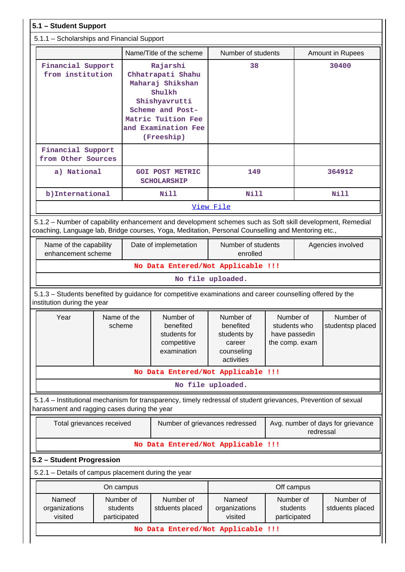| 5.1.1 - Scholarships and Financial Support<br>Name/Title of the scheme<br>Number of students<br>Amount in Rupees<br>Financial Support<br>Rajarshi<br>38<br>30400<br>from institution<br>Chhatrapati Shahu<br>Maharaj Shikshan<br>Shulkh<br>Shishyavrutti<br>Scheme and Post-<br>Matric Tuition Fee<br>and Examination Fee<br>(Freeship)<br>Financial Support<br>from Other Sources<br>a) National<br><b>GOI POST METRIC</b><br>149<br>364912<br><b>SCHOLARSHIP</b><br>b) International<br><b>Nill</b><br><b>Nill</b><br><b>Nill</b><br>View File<br>5.1.2 - Number of capability enhancement and development schemes such as Soft skill development, Remedial<br>coaching, Language lab, Bridge courses, Yoga, Meditation, Personal Counselling and Mentoring etc.,<br>Number of students<br>Name of the capability<br>Date of implemetation<br>Agencies involved<br>enhancement scheme<br>enrolled<br>No Data Entered/Not Applicable !!!<br>No file uploaded.<br>5.1.3 – Students benefited by guidance for competitive examinations and career counselling offered by the<br>institution during the year<br>Name of the<br>Number of<br>Number of<br>Number of<br>Number of<br>Year<br>scheme<br>benefited<br>benefited<br>students who<br>students for<br>students by<br>have passedin<br>competitive<br>the comp. exam<br>career<br>examination<br>counseling<br>activities<br>No Data Entered/Not Applicable !!!<br>No file uploaded.<br>harassment and ragging cases during the year<br>Total grievances received<br>Avg. number of days for grievance<br>Number of grievances redressed<br>redressal<br>No Data Entered/Not Applicable !!!<br>5.2.1 - Details of campus placement during the year<br>Off campus<br>On campus<br>Nameof<br>Number of<br>Number of<br>Nameof<br>Number of<br>Number of<br>organizations<br>students<br>students<br>stduents placed<br>organizations<br>visited<br>participated<br>visited<br>participated<br>No Data Entered/Not Applicable !!! | 5.1 - Student Support                                                                                          |  |  |  |  |  |  |                  |  |
|--------------------------------------------------------------------------------------------------------------------------------------------------------------------------------------------------------------------------------------------------------------------------------------------------------------------------------------------------------------------------------------------------------------------------------------------------------------------------------------------------------------------------------------------------------------------------------------------------------------------------------------------------------------------------------------------------------------------------------------------------------------------------------------------------------------------------------------------------------------------------------------------------------------------------------------------------------------------------------------------------------------------------------------------------------------------------------------------------------------------------------------------------------------------------------------------------------------------------------------------------------------------------------------------------------------------------------------------------------------------------------------------------------------------------------------------------------------------------------------------------------------------------------------------------------------------------------------------------------------------------------------------------------------------------------------------------------------------------------------------------------------------------------------------------------------------------------------------------------------------------------------------------------------------------------------------------------------------------------------|----------------------------------------------------------------------------------------------------------------|--|--|--|--|--|--|------------------|--|
|                                                                                                                                                                                                                                                                                                                                                                                                                                                                                                                                                                                                                                                                                                                                                                                                                                                                                                                                                                                                                                                                                                                                                                                                                                                                                                                                                                                                                                                                                                                                                                                                                                                                                                                                                                                                                                                                                                                                                                                      |                                                                                                                |  |  |  |  |  |  |                  |  |
|                                                                                                                                                                                                                                                                                                                                                                                                                                                                                                                                                                                                                                                                                                                                                                                                                                                                                                                                                                                                                                                                                                                                                                                                                                                                                                                                                                                                                                                                                                                                                                                                                                                                                                                                                                                                                                                                                                                                                                                      |                                                                                                                |  |  |  |  |  |  |                  |  |
|                                                                                                                                                                                                                                                                                                                                                                                                                                                                                                                                                                                                                                                                                                                                                                                                                                                                                                                                                                                                                                                                                                                                                                                                                                                                                                                                                                                                                                                                                                                                                                                                                                                                                                                                                                                                                                                                                                                                                                                      |                                                                                                                |  |  |  |  |  |  |                  |  |
|                                                                                                                                                                                                                                                                                                                                                                                                                                                                                                                                                                                                                                                                                                                                                                                                                                                                                                                                                                                                                                                                                                                                                                                                                                                                                                                                                                                                                                                                                                                                                                                                                                                                                                                                                                                                                                                                                                                                                                                      |                                                                                                                |  |  |  |  |  |  |                  |  |
|                                                                                                                                                                                                                                                                                                                                                                                                                                                                                                                                                                                                                                                                                                                                                                                                                                                                                                                                                                                                                                                                                                                                                                                                                                                                                                                                                                                                                                                                                                                                                                                                                                                                                                                                                                                                                                                                                                                                                                                      |                                                                                                                |  |  |  |  |  |  |                  |  |
|                                                                                                                                                                                                                                                                                                                                                                                                                                                                                                                                                                                                                                                                                                                                                                                                                                                                                                                                                                                                                                                                                                                                                                                                                                                                                                                                                                                                                                                                                                                                                                                                                                                                                                                                                                                                                                                                                                                                                                                      |                                                                                                                |  |  |  |  |  |  |                  |  |
|                                                                                                                                                                                                                                                                                                                                                                                                                                                                                                                                                                                                                                                                                                                                                                                                                                                                                                                                                                                                                                                                                                                                                                                                                                                                                                                                                                                                                                                                                                                                                                                                                                                                                                                                                                                                                                                                                                                                                                                      |                                                                                                                |  |  |  |  |  |  |                  |  |
|                                                                                                                                                                                                                                                                                                                                                                                                                                                                                                                                                                                                                                                                                                                                                                                                                                                                                                                                                                                                                                                                                                                                                                                                                                                                                                                                                                                                                                                                                                                                                                                                                                                                                                                                                                                                                                                                                                                                                                                      |                                                                                                                |  |  |  |  |  |  |                  |  |
|                                                                                                                                                                                                                                                                                                                                                                                                                                                                                                                                                                                                                                                                                                                                                                                                                                                                                                                                                                                                                                                                                                                                                                                                                                                                                                                                                                                                                                                                                                                                                                                                                                                                                                                                                                                                                                                                                                                                                                                      |                                                                                                                |  |  |  |  |  |  |                  |  |
|                                                                                                                                                                                                                                                                                                                                                                                                                                                                                                                                                                                                                                                                                                                                                                                                                                                                                                                                                                                                                                                                                                                                                                                                                                                                                                                                                                                                                                                                                                                                                                                                                                                                                                                                                                                                                                                                                                                                                                                      |                                                                                                                |  |  |  |  |  |  |                  |  |
|                                                                                                                                                                                                                                                                                                                                                                                                                                                                                                                                                                                                                                                                                                                                                                                                                                                                                                                                                                                                                                                                                                                                                                                                                                                                                                                                                                                                                                                                                                                                                                                                                                                                                                                                                                                                                                                                                                                                                                                      |                                                                                                                |  |  |  |  |  |  |                  |  |
|                                                                                                                                                                                                                                                                                                                                                                                                                                                                                                                                                                                                                                                                                                                                                                                                                                                                                                                                                                                                                                                                                                                                                                                                                                                                                                                                                                                                                                                                                                                                                                                                                                                                                                                                                                                                                                                                                                                                                                                      |                                                                                                                |  |  |  |  |  |  |                  |  |
|                                                                                                                                                                                                                                                                                                                                                                                                                                                                                                                                                                                                                                                                                                                                                                                                                                                                                                                                                                                                                                                                                                                                                                                                                                                                                                                                                                                                                                                                                                                                                                                                                                                                                                                                                                                                                                                                                                                                                                                      |                                                                                                                |  |  |  |  |  |  | studentsp placed |  |
|                                                                                                                                                                                                                                                                                                                                                                                                                                                                                                                                                                                                                                                                                                                                                                                                                                                                                                                                                                                                                                                                                                                                                                                                                                                                                                                                                                                                                                                                                                                                                                                                                                                                                                                                                                                                                                                                                                                                                                                      |                                                                                                                |  |  |  |  |  |  |                  |  |
|                                                                                                                                                                                                                                                                                                                                                                                                                                                                                                                                                                                                                                                                                                                                                                                                                                                                                                                                                                                                                                                                                                                                                                                                                                                                                                                                                                                                                                                                                                                                                                                                                                                                                                                                                                                                                                                                                                                                                                                      |                                                                                                                |  |  |  |  |  |  |                  |  |
|                                                                                                                                                                                                                                                                                                                                                                                                                                                                                                                                                                                                                                                                                                                                                                                                                                                                                                                                                                                                                                                                                                                                                                                                                                                                                                                                                                                                                                                                                                                                                                                                                                                                                                                                                                                                                                                                                                                                                                                      | 5.1.4 – Institutional mechanism for transparency, timely redressal of student grievances, Prevention of sexual |  |  |  |  |  |  |                  |  |
|                                                                                                                                                                                                                                                                                                                                                                                                                                                                                                                                                                                                                                                                                                                                                                                                                                                                                                                                                                                                                                                                                                                                                                                                                                                                                                                                                                                                                                                                                                                                                                                                                                                                                                                                                                                                                                                                                                                                                                                      |                                                                                                                |  |  |  |  |  |  |                  |  |
|                                                                                                                                                                                                                                                                                                                                                                                                                                                                                                                                                                                                                                                                                                                                                                                                                                                                                                                                                                                                                                                                                                                                                                                                                                                                                                                                                                                                                                                                                                                                                                                                                                                                                                                                                                                                                                                                                                                                                                                      |                                                                                                                |  |  |  |  |  |  |                  |  |
|                                                                                                                                                                                                                                                                                                                                                                                                                                                                                                                                                                                                                                                                                                                                                                                                                                                                                                                                                                                                                                                                                                                                                                                                                                                                                                                                                                                                                                                                                                                                                                                                                                                                                                                                                                                                                                                                                                                                                                                      | 5.2 - Student Progression                                                                                      |  |  |  |  |  |  |                  |  |
|                                                                                                                                                                                                                                                                                                                                                                                                                                                                                                                                                                                                                                                                                                                                                                                                                                                                                                                                                                                                                                                                                                                                                                                                                                                                                                                                                                                                                                                                                                                                                                                                                                                                                                                                                                                                                                                                                                                                                                                      |                                                                                                                |  |  |  |  |  |  |                  |  |
|                                                                                                                                                                                                                                                                                                                                                                                                                                                                                                                                                                                                                                                                                                                                                                                                                                                                                                                                                                                                                                                                                                                                                                                                                                                                                                                                                                                                                                                                                                                                                                                                                                                                                                                                                                                                                                                                                                                                                                                      |                                                                                                                |  |  |  |  |  |  |                  |  |
|                                                                                                                                                                                                                                                                                                                                                                                                                                                                                                                                                                                                                                                                                                                                                                                                                                                                                                                                                                                                                                                                                                                                                                                                                                                                                                                                                                                                                                                                                                                                                                                                                                                                                                                                                                                                                                                                                                                                                                                      |                                                                                                                |  |  |  |  |  |  | stduents placed  |  |
|                                                                                                                                                                                                                                                                                                                                                                                                                                                                                                                                                                                                                                                                                                                                                                                                                                                                                                                                                                                                                                                                                                                                                                                                                                                                                                                                                                                                                                                                                                                                                                                                                                                                                                                                                                                                                                                                                                                                                                                      |                                                                                                                |  |  |  |  |  |  |                  |  |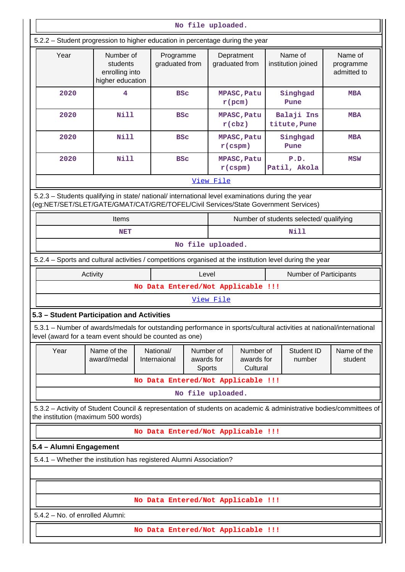|                                                                                                          |                                                                                                                     |                                    |            | No file uploaded.            |                                     |  |                                         |                                                                                                                    |
|----------------------------------------------------------------------------------------------------------|---------------------------------------------------------------------------------------------------------------------|------------------------------------|------------|------------------------------|-------------------------------------|--|-----------------------------------------|--------------------------------------------------------------------------------------------------------------------|
|                                                                                                          | 5.2.2 - Student progression to higher education in percentage during the year                                       |                                    |            |                              |                                     |  |                                         |                                                                                                                    |
| Year                                                                                                     | Number of<br>students<br>enrolling into<br>higher education                                                         | Programme<br>graduated from        |            | Depratment<br>graduated from |                                     |  | Name of<br>institution joined           | Name of<br>programme<br>admitted to                                                                                |
| 2020                                                                                                     | 4                                                                                                                   |                                    | <b>BSC</b> | $r$ (pcm)                    | MPASC, Patu                         |  | Singhgad<br>Pune                        | <b>MBA</b>                                                                                                         |
| 2020                                                                                                     | <b>Nill</b>                                                                                                         |                                    | <b>BSC</b> | $r$ (cbz)                    | MPASC, Patu                         |  | Balaji Ins<br>titute, Pune              | <b>MBA</b>                                                                                                         |
| 2020                                                                                                     | <b>Nill</b>                                                                                                         |                                    | <b>BSC</b> | $r$ (cspm)                   | MPASC, Patu                         |  | Singhgad<br>Pune                        | <b>MBA</b>                                                                                                         |
| 2020                                                                                                     | <b>Nill</b>                                                                                                         |                                    | <b>BSC</b> | $r$ (cspm)                   | MPASC, Patu                         |  | P.D.<br>Patil, Akola                    | MSW                                                                                                                |
|                                                                                                          |                                                                                                                     |                                    |            | View File                    |                                     |  |                                         |                                                                                                                    |
| (eg:NET/SET/SLET/GATE/GMAT/CAT/GRE/TOFEL/Civil Services/State Government Services)                       | 5.2.3 - Students qualifying in state/ national/ international level examinations during the year                    |                                    |            |                              |                                     |  |                                         |                                                                                                                    |
|                                                                                                          | Items                                                                                                               |                                    |            |                              |                                     |  | Number of students selected/ qualifying |                                                                                                                    |
|                                                                                                          | <b>NET</b>                                                                                                          |                                    |            |                              |                                     |  | Nill                                    |                                                                                                                    |
| No file uploaded.                                                                                        |                                                                                                                     |                                    |            |                              |                                     |  |                                         |                                                                                                                    |
| 5.2.4 – Sports and cultural activities / competitions organised at the institution level during the year |                                                                                                                     |                                    |            |                              |                                     |  |                                         |                                                                                                                    |
|                                                                                                          | Activity<br>Level<br>Number of Participants                                                                         |                                    |            |                              |                                     |  |                                         |                                                                                                                    |
|                                                                                                          | No Data Entered/Not Applicable !!!                                                                                  |                                    |            |                              |                                     |  |                                         |                                                                                                                    |
|                                                                                                          |                                                                                                                     |                                    |            | View File                    |                                     |  |                                         |                                                                                                                    |
| 5.3 - Student Participation and Activities                                                               |                                                                                                                     |                                    |            |                              |                                     |  |                                         |                                                                                                                    |
| level (award for a team event should be counted as one)                                                  | 5.3.1 – Number of awards/medals for outstanding performance in sports/cultural activities at national/international |                                    |            |                              |                                     |  |                                         |                                                                                                                    |
| Year                                                                                                     | Name of the<br>award/medal                                                                                          | National/<br>Internaional          | awards for | Number of<br>Sports          | Number of<br>awards for<br>Cultural |  | Student ID<br>number                    | Name of the<br>student                                                                                             |
|                                                                                                          |                                                                                                                     | No Data Entered/Not Applicable !!! |            |                              |                                     |  |                                         |                                                                                                                    |
| No file uploaded.                                                                                        |                                                                                                                     |                                    |            |                              |                                     |  |                                         |                                                                                                                    |
| the institution (maximum 500 words)                                                                      |                                                                                                                     |                                    |            |                              |                                     |  |                                         | 5.3.2 - Activity of Student Council & representation of students on academic & administrative bodies/committees of |
|                                                                                                          |                                                                                                                     | No Data Entered/Not Applicable !!! |            |                              |                                     |  |                                         |                                                                                                                    |
| 5.4 - Alumni Engagement                                                                                  |                                                                                                                     |                                    |            |                              |                                     |  |                                         |                                                                                                                    |
|                                                                                                          | 5.4.1 - Whether the institution has registered Alumni Association?                                                  |                                    |            |                              |                                     |  |                                         |                                                                                                                    |
|                                                                                                          |                                                                                                                     |                                    |            |                              |                                     |  |                                         |                                                                                                                    |
|                                                                                                          |                                                                                                                     |                                    |            |                              |                                     |  |                                         |                                                                                                                    |
|                                                                                                          |                                                                                                                     | No Data Entered/Not Applicable !!! |            |                              |                                     |  |                                         |                                                                                                                    |
| 5.4.2 - No. of enrolled Alumni:                                                                          |                                                                                                                     |                                    |            |                              |                                     |  |                                         |                                                                                                                    |
|                                                                                                          |                                                                                                                     | No Data Entered/Not Applicable !!! |            |                              |                                     |  |                                         |                                                                                                                    |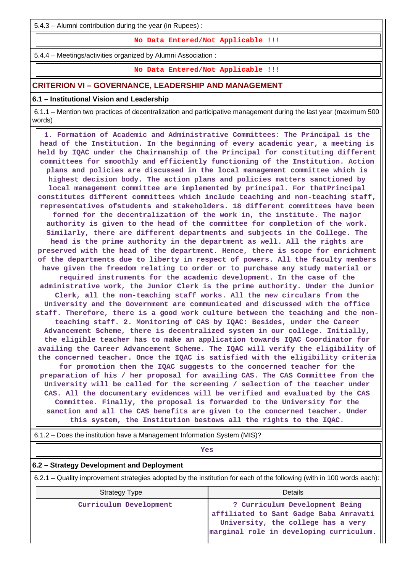5.4.3 – Alumni contribution during the year (in Rupees) :

**No Data Entered/Not Applicable !!!**

5.4.4 – Meetings/activities organized by Alumni Association :

**No Data Entered/Not Applicable !!!**

### **CRITERION VI – GOVERNANCE, LEADERSHIP AND MANAGEMENT**

#### **6.1 – Institutional Vision and Leadership**

 6.1.1 – Mention two practices of decentralization and participative management during the last year (maximum 500 words)

 **1. Formation of Academic and Administrative Committees: The Principal is the head of the Institution. In the beginning of every academic year, a meeting is held by IQAC under the Chairmanship of the Principal for constituting different committees for smoothly and efficiently functioning of the Institution. Action plans and policies are discussed in the local management committee which is highest decision body. The action plans and policies matters sanctioned by local management committee are implemented by principal. For thatPrincipal constitutes different committees which include teaching and non-teaching staff, representatives ofstudents and stakeholders. 18 different committees have been formed for the decentralization of the work in, the institute. The major authority is given to the head of the committee for completion of the work. Similarly, there are different departments and subjects in the College. The head is the prime authority in the department as well. All the rights are preserved with the head of the department. Hence, there is scope for enrichment of the departments due to liberty in respect of powers. All the faculty members have given the freedom relating to order or to purchase any study material or required instruments for the academic development. In the case of the administrative work, the Junior Clerk is the prime authority. Under the Junior Clerk, all the non-teaching staff works. All the new circulars from the University and the Government are communicated and discussed with the office staff. Therefore, there is a good work culture between the teaching and the nonteaching staff. 2. Monitoring of CAS by IQAC: Besides, under the Career Advancement Scheme, there is decentralized system in our college. Initially, the eligible teacher has to make an application towards IQAC Coordinator for availing the Career Advancement Scheme. The IQAC will verify the eligibility of the concerned teacher. Once the IQAC is satisfied with the eligibility criteria for promotion then the IQAC suggests to the concerned teacher for the preparation of his / her proposal for availing CAS. The CAS Committee from the University will be called for the screening / selection of the teacher under CAS. All the documentary evidences will be verified and evaluated by the CAS Committee. Finally, the proposal is forwarded to the University for the sanction and all the CAS benefits are given to the concerned teacher. Under this system, the Institution bestows all the rights to the IQAC.**

6.1.2 – Does the institution have a Management Information System (MIS)?

**Yes**

### **6.2 – Strategy Development and Deployment**

6.2.1 – Quality improvement strategies adopted by the institution for each of the following (with in 100 words each):

| <b>Strategy Type</b>   | Details                                                                                                                                                   |
|------------------------|-----------------------------------------------------------------------------------------------------------------------------------------------------------|
| Curriculum Development | ? Curriculum Development Being<br>affiliated to Sant Gadge Baba Amravati<br>University, the college has a very<br>marginal role in developing curriculum. |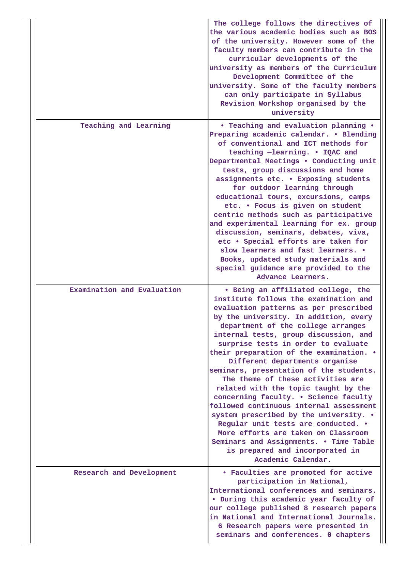|                            | The college follows the directives of<br>the various academic bodies such as BOS<br>of the university. However some of the<br>faculty members can contribute in the<br>curricular developments of the<br>university as members of the Curriculum<br>Development Committee of the<br>university. Some of the faculty members<br>can only participate in Syllabus<br>Revision Workshop organised by the<br>university                                                                                                                                                                                                                                                                                                                                                                                     |
|----------------------------|---------------------------------------------------------------------------------------------------------------------------------------------------------------------------------------------------------------------------------------------------------------------------------------------------------------------------------------------------------------------------------------------------------------------------------------------------------------------------------------------------------------------------------------------------------------------------------------------------------------------------------------------------------------------------------------------------------------------------------------------------------------------------------------------------------|
| Teaching and Learning      | • Teaching and evaluation planning •<br>Preparing academic calendar. . Blending<br>of conventional and ICT methods for<br>teaching -learning. . IQAC and<br>Departmental Meetings . Conducting unit<br>tests, group discussions and home<br>assignments etc. . Exposing students<br>for outdoor learning through<br>educational tours, excursions, camps<br>etc. . Focus is given on student<br>centric methods such as participative<br>and experimental learning for ex. group<br>discussion, seminars, debates, viva,<br>etc . Special efforts are taken for<br>slow learners and fast learners. .<br>Books, updated study materials and<br>special guidance are provided to the<br>Advance Learners.                                                                                                |
| Examination and Evaluation | • Being an affiliated college, the<br>institute follows the examination and<br>evaluation patterns as per prescribed<br>by the university. In addition, every<br>department of the college arranges<br>internal tests, group discussion, and<br>surprise tests in order to evaluate<br>their preparation of the examination. .<br>Different departments organise<br>seminars, presentation of the students.<br>The theme of these activities are<br>related with the topic taught by the<br>concerning faculty. . Science faculty<br>followed continuous internal assessment<br>system prescribed by the university. .<br>Regular unit tests are conducted. .<br>More efforts are taken on Classroom<br>Seminars and Assignments. . Time Table<br>is prepared and incorporated in<br>Academic Calendar. |
| Research and Development   | • Faculties are promoted for active<br>participation in National,<br>International conferences and seminars.<br>. During this academic year faculty of<br>our college published 8 research papers<br>in National and International Journals.<br>6 Research papers were presented in<br>seminars and conferences. 0 chapters                                                                                                                                                                                                                                                                                                                                                                                                                                                                             |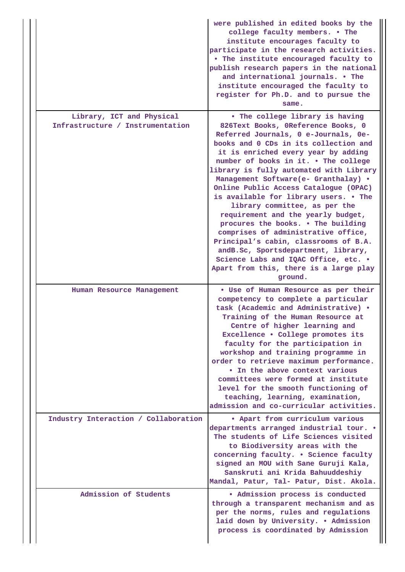|  |                                      | were published in edited books by the<br>college faculty members. . The<br>institute encourages faculty to<br>participate in the research activities.<br>. The institute encouraged faculty to<br>publish research papers in the national<br>and international journals. . The<br>institute encouraged the faculty to<br>register for Ph.D. and to pursue the<br>same.                                                                                                                                                                                                                                                                                                                                   |
|--|--------------------------------------|----------------------------------------------------------------------------------------------------------------------------------------------------------------------------------------------------------------------------------------------------------------------------------------------------------------------------------------------------------------------------------------------------------------------------------------------------------------------------------------------------------------------------------------------------------------------------------------------------------------------------------------------------------------------------------------------------------|
|  | Library, ICT and Physical            | • The college library is having                                                                                                                                                                                                                                                                                                                                                                                                                                                                                                                                                                                                                                                                          |
|  | Infrastructure / Instrumentation     | 826Text Books, OReference Books, 0<br>Referred Journals, 0 e-Journals, 0e-<br>books and 0 CDs in its collection and<br>it is enriched every year by adding<br>number of books in it. . The college<br>library is fully automated with Library<br>Management Software(e- Granthalay) .<br>Online Public Access Catalogue (OPAC)<br>is available for library users. . The<br>library committee, as per the<br>requirement and the yearly budget,<br>procures the books. . The building<br>comprises of administrative office,<br>Principal's cabin, classrooms of B.A.<br>andB.Sc, Sportsdepartment, library,<br>Science Labs and IQAC Office, etc. .<br>Apart from this, there is a large play<br>ground. |
|  | Human Resource Management            | . Use of Human Resource as per their<br>competency to complete a particular<br>task (Academic and Administrative) .<br>Training of the Human Resource at<br>Centre of higher learning and<br>Excellence . College promotes its<br>faculty for the participation in<br>workshop and training programme in<br>order to retrieve maximum performance.<br>• In the above context various<br>committees were formed at institute<br>level for the smooth functioning of<br>teaching, learning, examination,<br>admission and co-curricular activities.                                                                                                                                                        |
|  | Industry Interaction / Collaboration | . Apart from curriculum various<br>departments arranged industrial tour. .<br>The students of Life Sciences visited<br>to Biodiversity areas with the<br>concerning faculty. . Science faculty<br>signed an MOU with Sane Guruji Kala,<br>Sanskruti ani Krida Bahuuddeshiy<br>Mandal, Patur, Tal- Patur, Dist. Akola.                                                                                                                                                                                                                                                                                                                                                                                    |
|  | Admission of Students                | · Admission process is conducted<br>through a transparent mechanism and as<br>per the norms, rules and regulations<br>laid down by University. . Admission<br>process is coordinated by Admission                                                                                                                                                                                                                                                                                                                                                                                                                                                                                                        |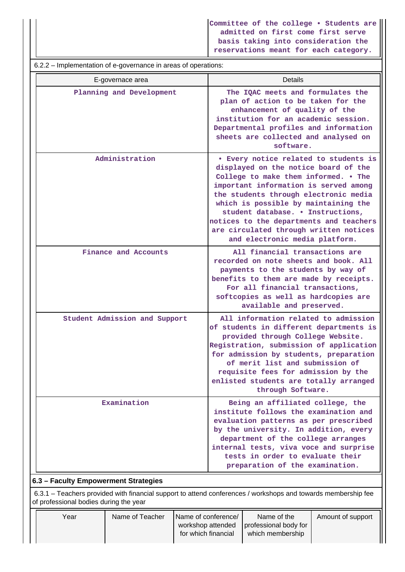**Committee of the college • Students are admitted on first come first serve basis taking into consideration the reservations meant for each category.**

| 6.2.2 – Implementation of e-governance in areas of operations: |                                                                                                                                                                                                                                                                                                                                                                                                             |  |  |  |  |  |  |  |
|----------------------------------------------------------------|-------------------------------------------------------------------------------------------------------------------------------------------------------------------------------------------------------------------------------------------------------------------------------------------------------------------------------------------------------------------------------------------------------------|--|--|--|--|--|--|--|
| E-governace area                                               | <b>Details</b>                                                                                                                                                                                                                                                                                                                                                                                              |  |  |  |  |  |  |  |
| Planning and Development                                       | The IQAC meets and formulates the<br>plan of action to be taken for the<br>enhancement of quality of the<br>institution for an academic session.<br>Departmental profiles and information<br>sheets are collected and analysed on<br>software.                                                                                                                                                              |  |  |  |  |  |  |  |
| Administration                                                 | • Every notice related to students is<br>displayed on the notice board of the<br>College to make them informed. . The<br>important information is served among<br>the students through electronic media<br>which is possible by maintaining the<br>student database. . Instructions,<br>notices to the departments and teachers<br>are circulated through written notices<br>and electronic media platform. |  |  |  |  |  |  |  |
| Finance and Accounts                                           | All financial transactions are<br>recorded on note sheets and book. All<br>payments to the students by way of<br>benefits to them are made by receipts.<br>For all financial transactions,<br>softcopies as well as hardcopies are<br>available and preserved.                                                                                                                                              |  |  |  |  |  |  |  |
| Student Admission and Support                                  | All information related to admission<br>of students in different departments is<br>provided through College Website.<br>Registration, submission of application<br>for admission by students, preparation<br>of merit list and submission of<br>requisite fees for admission by the<br>enlisted students are totally arranged<br>through Software.                                                          |  |  |  |  |  |  |  |
| Examination                                                    | Being an affiliated college, the<br>institute follows the examination and<br>evaluation patterns as per prescribed<br>by the university. In addition, every<br>department of the college arranges<br>internal tests, viva voce and surprise<br>tests in order to evaluate their<br>preparation of the examination.                                                                                          |  |  |  |  |  |  |  |

### **6.3 – Faculty Empowerment Strategies**

 6.3.1 – Teachers provided with financial support to attend conferences / workshops and towards membership fee of professional bodies during the year

| Year | Name of Teacher | Name of conference/ | Name of the                               | Amount of support |
|------|-----------------|---------------------|-------------------------------------------|-------------------|
|      |                 |                     | workshop attended   professional body for |                   |
|      |                 | for which financial | which membership                          |                   |
|      |                 |                     |                                           |                   |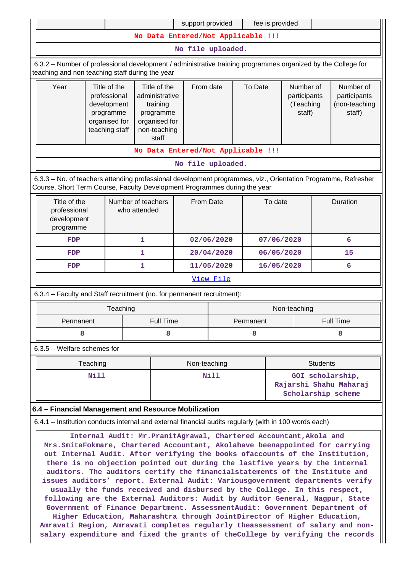| support provided                                                                                                                                                                                                                                                                                                                                                                                                                                                                                                                                                                                                                                |                                                                                                                                    |          |                                                                                                                |                  |                                    |                  | fee is provided |            |                                                  |                                                      |                  |
|-------------------------------------------------------------------------------------------------------------------------------------------------------------------------------------------------------------------------------------------------------------------------------------------------------------------------------------------------------------------------------------------------------------------------------------------------------------------------------------------------------------------------------------------------------------------------------------------------------------------------------------------------|------------------------------------------------------------------------------------------------------------------------------------|----------|----------------------------------------------------------------------------------------------------------------|------------------|------------------------------------|------------------|-----------------|------------|--------------------------------------------------|------------------------------------------------------|------------------|
| No Data Entered/Not Applicable !!!                                                                                                                                                                                                                                                                                                                                                                                                                                                                                                                                                                                                              |                                                                                                                                    |          |                                                                                                                |                  |                                    |                  |                 |            |                                                  |                                                      |                  |
| No file uploaded.                                                                                                                                                                                                                                                                                                                                                                                                                                                                                                                                                                                                                               |                                                                                                                                    |          |                                                                                                                |                  |                                    |                  |                 |            |                                                  |                                                      |                  |
| 6.3.2 - Number of professional development / administrative training programmes organized by the College for<br>teaching and non teaching staff during the year                                                                                                                                                                                                                                                                                                                                                                                                                                                                                 |                                                                                                                                    |          |                                                                                                                |                  |                                    |                  |                 |            |                                                  |                                                      |                  |
| Year<br>Title of the<br>professional<br>development<br>programme<br>organised for<br>teaching staff                                                                                                                                                                                                                                                                                                                                                                                                                                                                                                                                             |                                                                                                                                    |          | Title of the<br>From date<br>administrative<br>training<br>programme<br>organised for<br>non-teaching<br>staff |                  |                                    |                  | To Date         |            | Number of<br>participants<br>(Teaching<br>staff) | Number of<br>participants<br>(non-teaching<br>staff) |                  |
|                                                                                                                                                                                                                                                                                                                                                                                                                                                                                                                                                                                                                                                 |                                                                                                                                    |          |                                                                                                                |                  | No Data Entered/Not Applicable !!! |                  |                 |            |                                                  |                                                      |                  |
|                                                                                                                                                                                                                                                                                                                                                                                                                                                                                                                                                                                                                                                 |                                                                                                                                    |          |                                                                                                                |                  | No file uploaded.                  |                  |                 |            |                                                  |                                                      |                  |
| 6.3.3 - No. of teachers attending professional development programmes, viz., Orientation Programme, Refresher<br>Course, Short Term Course, Faculty Development Programmes during the year                                                                                                                                                                                                                                                                                                                                                                                                                                                      |                                                                                                                                    |          |                                                                                                                |                  |                                    |                  |                 |            |                                                  |                                                      |                  |
|                                                                                                                                                                                                                                                                                                                                                                                                                                                                                                                                                                                                                                                 | Title of the<br>Number of teachers<br>From Date<br>To date<br>Duration<br>professional<br>who attended<br>development<br>programme |          |                                                                                                                |                  |                                    |                  |                 |            |                                                  |                                                      |                  |
| <b>FDP</b>                                                                                                                                                                                                                                                                                                                                                                                                                                                                                                                                                                                                                                      | 1                                                                                                                                  |          |                                                                                                                | 02/06/2020       |                                    |                  | 07/06/2020      |            | 6                                                |                                                      |                  |
| <b>FDP</b>                                                                                                                                                                                                                                                                                                                                                                                                                                                                                                                                                                                                                                      |                                                                                                                                    |          | 1                                                                                                              |                  |                                    | 20/04/2020       |                 | 06/05/2020 |                                                  | 15                                                   |                  |
| <b>FDP</b>                                                                                                                                                                                                                                                                                                                                                                                                                                                                                                                                                                                                                                      | 1                                                                                                                                  |          |                                                                                                                | 11/05/2020       |                                    |                  | 16/05/2020      |            | 6                                                |                                                      |                  |
|                                                                                                                                                                                                                                                                                                                                                                                                                                                                                                                                                                                                                                                 |                                                                                                                                    |          |                                                                                                                |                  |                                    | <u>View File</u> |                 |            |                                                  |                                                      |                  |
| 6.3.4 - Faculty and Staff recruitment (no. for permanent recruitment):                                                                                                                                                                                                                                                                                                                                                                                                                                                                                                                                                                          |                                                                                                                                    |          |                                                                                                                |                  |                                    |                  |                 |            |                                                  |                                                      |                  |
|                                                                                                                                                                                                                                                                                                                                                                                                                                                                                                                                                                                                                                                 |                                                                                                                                    | Teaching |                                                                                                                |                  |                                    |                  |                 |            | Non-teaching                                     |                                                      |                  |
| Permanent                                                                                                                                                                                                                                                                                                                                                                                                                                                                                                                                                                                                                                       |                                                                                                                                    |          |                                                                                                                | <b>Full Time</b> |                                    |                  | Permanent       |            |                                                  |                                                      | <b>Full Time</b> |
| 8                                                                                                                                                                                                                                                                                                                                                                                                                                                                                                                                                                                                                                               |                                                                                                                                    |          |                                                                                                                | 8                |                                    | 8                |                 |            | 8                                                |                                                      |                  |
| $6.3.5$ – Welfare schemes for                                                                                                                                                                                                                                                                                                                                                                                                                                                                                                                                                                                                                   |                                                                                                                                    |          |                                                                                                                |                  |                                    |                  |                 |            |                                                  |                                                      |                  |
|                                                                                                                                                                                                                                                                                                                                                                                                                                                                                                                                                                                                                                                 | Teaching                                                                                                                           |          |                                                                                                                |                  | Non-teaching                       |                  |                 |            |                                                  | <b>Students</b>                                      |                  |
|                                                                                                                                                                                                                                                                                                                                                                                                                                                                                                                                                                                                                                                 | <b>Nill</b><br>Nill<br>GOI scholarship,<br>Rajarshi Shahu Maharaj<br>Scholarship scheme                                            |          |                                                                                                                |                  |                                    |                  |                 |            |                                                  |                                                      |                  |
| 6.4 - Financial Management and Resource Mobilization                                                                                                                                                                                                                                                                                                                                                                                                                                                                                                                                                                                            |                                                                                                                                    |          |                                                                                                                |                  |                                    |                  |                 |            |                                                  |                                                      |                  |
| 6.4.1 – Institution conducts internal and external financial audits regularly (with in 100 words each)                                                                                                                                                                                                                                                                                                                                                                                                                                                                                                                                          |                                                                                                                                    |          |                                                                                                                |                  |                                    |                  |                 |            |                                                  |                                                      |                  |
| Internal Audit: Mr. PranitAgrawal, Chartered Accountant, Akola and<br>Mrs. SmitaFokmare, Chartered Accountant, Akolahave beenappointed for carrying<br>out Internal Audit. After verifying the books ofaccounts of the Institution,<br>there is no objection pointed out during the lastfive years by the internal<br>auditors. The auditors certify the financialstatements of the Institute and<br>issues auditors' report. External Audit: Variousgovernment departments verify<br>usually the funds received and disbursed by the College. In this respect,<br>following are the External Auditors: Audit by Auditor General, Nagpur, State |                                                                                                                                    |          |                                                                                                                |                  |                                    |                  |                 |            |                                                  |                                                      |                  |

**Government of Finance Department. AssessmentAudit: Government Department of Higher Education, Maharashtra through JointDirector of Higher Education, Amravati Region, Amravati completes regularly theassessment of salary and nonsalary expenditure and fixed the grants of theCollege by verifying the records**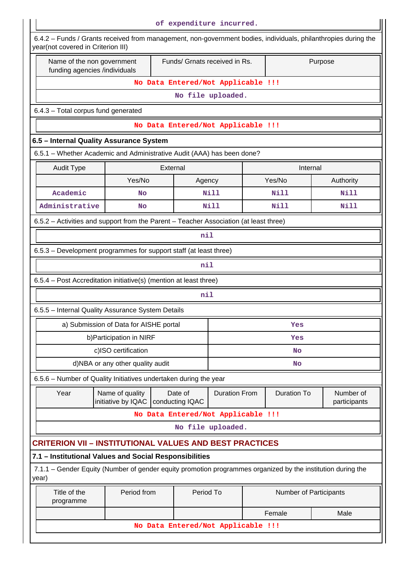| of expenditure incurred.                                                                                                                             |                                        |                                    |                      |                                          |                        |                           |  |  |  |
|------------------------------------------------------------------------------------------------------------------------------------------------------|----------------------------------------|------------------------------------|----------------------|------------------------------------------|------------------------|---------------------------|--|--|--|
| 6.4.2 - Funds / Grants received from management, non-government bodies, individuals, philanthropies during the<br>year(not covered in Criterion III) |                                        |                                    |                      |                                          |                        |                           |  |  |  |
| Name of the non government<br>funding agencies /individuals                                                                                          |                                        |                                    |                      | Funds/ Grnats received in Rs.<br>Purpose |                        |                           |  |  |  |
|                                                                                                                                                      | No Data Entered/Not Applicable !!!     |                                    |                      |                                          |                        |                           |  |  |  |
|                                                                                                                                                      |                                        |                                    | No file uploaded.    |                                          |                        |                           |  |  |  |
| 6.4.3 - Total corpus fund generated                                                                                                                  |                                        |                                    |                      |                                          |                        |                           |  |  |  |
|                                                                                                                                                      |                                        | No Data Entered/Not Applicable !!! |                      |                                          |                        |                           |  |  |  |
| 6.5 - Internal Quality Assurance System                                                                                                              |                                        |                                    |                      |                                          |                        |                           |  |  |  |
| 6.5.1 - Whether Academic and Administrative Audit (AAA) has been done?                                                                               |                                        |                                    |                      |                                          |                        |                           |  |  |  |
| <b>Audit Type</b>                                                                                                                                    |                                        | External                           |                      |                                          | Internal               |                           |  |  |  |
|                                                                                                                                                      | Yes/No                                 |                                    | Agency               |                                          | Yes/No                 | Authority                 |  |  |  |
| Academic                                                                                                                                             | No                                     |                                    | Nill                 |                                          | Nill                   | <b>Nill</b>               |  |  |  |
| Administrative                                                                                                                                       | <b>No</b>                              |                                    | <b>Nill</b>          |                                          | Nill                   | Nill                      |  |  |  |
| 6.5.2 – Activities and support from the Parent – Teacher Association (at least three)                                                                |                                        |                                    |                      |                                          |                        |                           |  |  |  |
|                                                                                                                                                      |                                        |                                    | nil                  |                                          |                        |                           |  |  |  |
| 6.5.3 - Development programmes for support staff (at least three)                                                                                    |                                        |                                    |                      |                                          |                        |                           |  |  |  |
|                                                                                                                                                      |                                        |                                    | nil                  |                                          |                        |                           |  |  |  |
| 6.5.4 - Post Accreditation initiative(s) (mention at least three)                                                                                    |                                        |                                    |                      |                                          |                        |                           |  |  |  |
|                                                                                                                                                      |                                        |                                    | nil                  |                                          |                        |                           |  |  |  |
| 6.5.5 - Internal Quality Assurance System Details                                                                                                    |                                        |                                    |                      |                                          |                        |                           |  |  |  |
|                                                                                                                                                      | a) Submission of Data for AISHE portal |                                    |                      |                                          | Yes                    |                           |  |  |  |
|                                                                                                                                                      | b) Participation in NIRF               |                                    |                      |                                          | Yes                    |                           |  |  |  |
|                                                                                                                                                      | c)ISO certification                    |                                    |                      |                                          | No                     |                           |  |  |  |
|                                                                                                                                                      | d)NBA or any other quality audit       |                                    |                      | No                                       |                        |                           |  |  |  |
| 6.5.6 - Number of Quality Initiatives undertaken during the year                                                                                     |                                        |                                    |                      |                                          |                        |                           |  |  |  |
| Year                                                                                                                                                 | Name of quality<br>initiative by IQAC  | Date of<br>conducting IQAC         | <b>Duration From</b> |                                          | <b>Duration To</b>     | Number of<br>participants |  |  |  |
|                                                                                                                                                      |                                        | No Data Entered/Not Applicable !!! |                      |                                          |                        |                           |  |  |  |
|                                                                                                                                                      |                                        |                                    | No file uploaded.    |                                          |                        |                           |  |  |  |
| <b>CRITERION VII - INSTITUTIONAL VALUES AND BEST PRACTICES</b>                                                                                       |                                        |                                    |                      |                                          |                        |                           |  |  |  |
| 7.1 - Institutional Values and Social Responsibilities                                                                                               |                                        |                                    |                      |                                          |                        |                           |  |  |  |
| 7.1.1 – Gender Equity (Number of gender equity promotion programmes organized by the institution during the<br>year)                                 |                                        |                                    |                      |                                          |                        |                           |  |  |  |
| Title of the<br>programme                                                                                                                            | Period from                            |                                    | Period To            |                                          | Number of Participants |                           |  |  |  |
| Female<br>Male                                                                                                                                       |                                        |                                    |                      |                                          |                        |                           |  |  |  |
| No Data Entered/Not Applicable !!!                                                                                                                   |                                        |                                    |                      |                                          |                        |                           |  |  |  |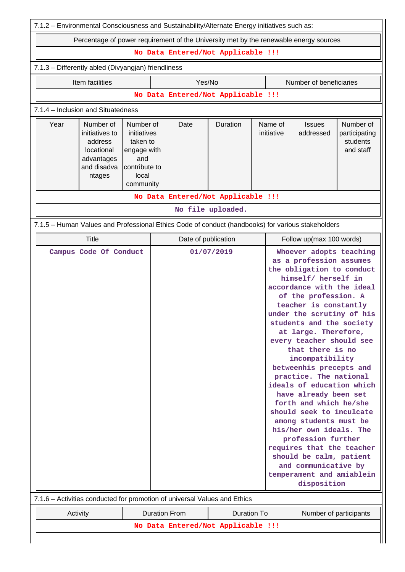| 7.1.2 - Environmental Consciousness and Sustainability/Alternate Energy initiatives such as:                                                                                                                                                                                                                                                                                                                                                                                                                                                                                                                                                                                                                                                             |                                                                                                   |                                    |                   |                       |                            |                                                     |  |  |  |
|----------------------------------------------------------------------------------------------------------------------------------------------------------------------------------------------------------------------------------------------------------------------------------------------------------------------------------------------------------------------------------------------------------------------------------------------------------------------------------------------------------------------------------------------------------------------------------------------------------------------------------------------------------------------------------------------------------------------------------------------------------|---------------------------------------------------------------------------------------------------|------------------------------------|-------------------|-----------------------|----------------------------|-----------------------------------------------------|--|--|--|
| Percentage of power requirement of the University met by the renewable energy sources                                                                                                                                                                                                                                                                                                                                                                                                                                                                                                                                                                                                                                                                    |                                                                                                   |                                    |                   |                       |                            |                                                     |  |  |  |
|                                                                                                                                                                                                                                                                                                                                                                                                                                                                                                                                                                                                                                                                                                                                                          |                                                                                                   | No Data Entered/Not Applicable !!! |                   |                       |                            |                                                     |  |  |  |
| 7.1.3 - Differently abled (Divyangjan) friendliness                                                                                                                                                                                                                                                                                                                                                                                                                                                                                                                                                                                                                                                                                                      |                                                                                                   |                                    |                   |                       |                            |                                                     |  |  |  |
| Item facilities                                                                                                                                                                                                                                                                                                                                                                                                                                                                                                                                                                                                                                                                                                                                          |                                                                                                   | Yes/No                             |                   |                       | Number of beneficiaries    |                                                     |  |  |  |
|                                                                                                                                                                                                                                                                                                                                                                                                                                                                                                                                                                                                                                                                                                                                                          |                                                                                                   | No Data Entered/Not Applicable !!! |                   |                       |                            |                                                     |  |  |  |
| 7.1.4 - Inclusion and Situatedness                                                                                                                                                                                                                                                                                                                                                                                                                                                                                                                                                                                                                                                                                                                       |                                                                                                   |                                    |                   |                       |                            |                                                     |  |  |  |
| Year<br>Number of<br>initiatives to<br>address<br>locational<br>advantages<br>and disadva<br>ntages                                                                                                                                                                                                                                                                                                                                                                                                                                                                                                                                                                                                                                                      | Number of<br>initiatives<br>taken to<br>engage with<br>and<br>contribute to<br>local<br>community | Date                               | Duration          | Name of<br>initiative | <b>Issues</b><br>addressed | Number of<br>participating<br>students<br>and staff |  |  |  |
|                                                                                                                                                                                                                                                                                                                                                                                                                                                                                                                                                                                                                                                                                                                                                          |                                                                                                   | No Data Entered/Not Applicable !!! |                   |                       |                            |                                                     |  |  |  |
|                                                                                                                                                                                                                                                                                                                                                                                                                                                                                                                                                                                                                                                                                                                                                          |                                                                                                   |                                    | No file uploaded. |                       |                            |                                                     |  |  |  |
| 7.1.5 - Human Values and Professional Ethics Code of conduct (handbooks) for various stakeholders                                                                                                                                                                                                                                                                                                                                                                                                                                                                                                                                                                                                                                                        |                                                                                                   |                                    |                   |                       |                            |                                                     |  |  |  |
| Title                                                                                                                                                                                                                                                                                                                                                                                                                                                                                                                                                                                                                                                                                                                                                    |                                                                                                   | Date of publication                |                   |                       | Follow up(max 100 words)   |                                                     |  |  |  |
| Campus Code Of Conduct<br>01/07/2019<br>Whoever adopts teaching<br>as a profession assumes<br>the obligation to conduct<br>himself/ herself in<br>accordance with the ideal<br>of the profession. A<br>teacher is constantly<br>under the scrutiny of his<br>students and the society<br>at large. Therefore,<br>every teacher should see<br>that there is no<br>incompatibility<br>betweenhis precepts and<br>practice. The national<br>ideals of education which<br>have already been set<br>forth and which he/she<br>should seek to inculcate<br>among students must be<br>his/her own ideals. The<br>profession further<br>requires that the teacher<br>should be calm, patient<br>and communicative by<br>temperament and amiablein<br>disposition |                                                                                                   |                                    |                   |                       |                            |                                                     |  |  |  |
| 7.1.6 – Activities conducted for promotion of universal Values and Ethics<br><b>Duration From</b><br><b>Duration To</b>                                                                                                                                                                                                                                                                                                                                                                                                                                                                                                                                                                                                                                  |                                                                                                   |                                    |                   |                       |                            |                                                     |  |  |  |
| Activity<br>Number of participants<br>No Data Entered/Not Applicable !!!                                                                                                                                                                                                                                                                                                                                                                                                                                                                                                                                                                                                                                                                                 |                                                                                                   |                                    |                   |                       |                            |                                                     |  |  |  |
|                                                                                                                                                                                                                                                                                                                                                                                                                                                                                                                                                                                                                                                                                                                                                          |                                                                                                   |                                    |                   |                       |                            |                                                     |  |  |  |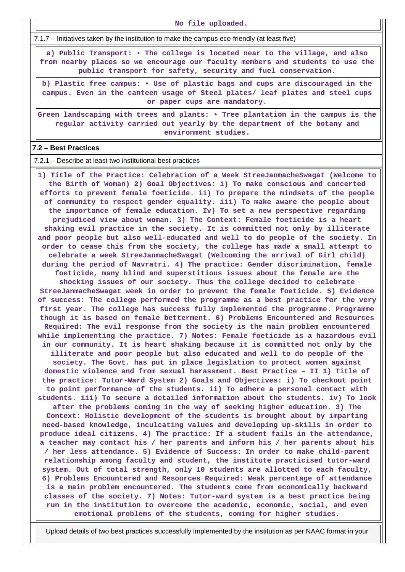**No file uploaded.**

7.1.7 – Initiatives taken by the institution to make the campus eco-friendly (at least five)

 **a) Public Transport: • The college is located near to the village, and also from nearby places so we encourage our faculty members and students to use the public transport for safety, security and fuel conservation.**

**b) Plastic free campus: • Use of plastic bags and cups are discouraged in the campus. Even in the canteen usage of Steel plates/ leaf plates and steel cups or paper cups are mandatory.**

**Green landscaping with trees and plants: • Tree plantation in the campus is the regular activity carried out yearly by the department of the botany and environment studies.**

#### **7.2 – Best Practices**

7.2.1 – Describe at least two institutional best practices

 **1) Title of the Practice: Celebration of a Week StreeJanmacheSwagat (Welcome to the Birth of Woman) 2) Goal Objectives: i) To make conscious and concerted efforts to prevent female foeticide. ii) To prepare the mindsets of the people of community to respect gender equality. iii) To make aware the people about the importance of female education. Iv) To set a new perspective regarding prejudiced view about woman. 3) The Context: Female foeticide is a heart shaking evil practice in the society. It is committed not only by illiterate and poor people but also well-educated and well to do people of the society. In order to cease this from the society, the college has made a small attempt to celebrate a week StreeJanmacheSwagat (Welcoming the arrival of Girl child) during the period of Navratri. 4) The practice: Gender discrimination, female foeticide, many blind and superstitious issues about the female are the shocking issues of our society. Thus the college decided to celebrate StreeJanmacheSwagat week in order to prevent the female foeticide. 5) Evidence of success: The college performed the programme as a best practice for the very first year. The college has success fully implemented the programme. Programme though it is based on female betterment. 6) Problems Encountered and Resources Required: The evil response from the society is the main problem encountered while implementing the practice. 7) Notes: Female foeticide is a hazardous evil in our community. It is heart shaking because it is committed not only by the illiterate and poor people but also educated and well to do people of the society. The Govt. has put in place legislation to protect women against domestic violence and from sexual harassment. Best Practice – II 1) Title of the practice: Tutor-Ward System 2) Goals and Objectives: i) To checkout point to point performance of the students. ii) To adhere a personal contact with students. iii) To secure a detailed information about the students. iv) To look after the problems coming in the way of seeking higher education. 3) The Context: Holistic development of the students is brought about by imparting need-based knowledge, inculcating values and developing up-skills in order to produce ideal citizens. 4) The practice: If a student fails in the attendance, a teacher may contact his / her parents and inform his / her parents about his / her less attendance. 5) Evidence of Success: In order to make child-parent relationship among faculty and student, the institute practicised tutor-ward system. Out of total strength, only 10 students are allotted to each faculty, 6) Problems Encountered and Resources Required: Weak percentage of attendance is a main problem encountered. The students come from economically backward classes of the society. 7) Notes: Tutor-ward system is a best practice being run in the institution to overcome the academic, economic, social, and even emotional problems of the students, coming for higher studies.**

Upload details of two best practices successfully implemented by the institution as per NAAC format in your